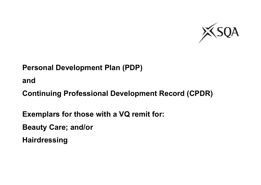

**and**

**Continuing Professional Development Record (CPDR)**

**Exemplars for those with a VQ remit for:**

**Beauty Care; and/or** 

**Hairdressing**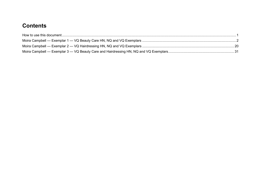# **Contents**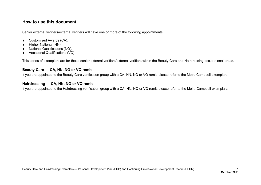# <span id="page-2-0"></span>**How to use this document**

Senior external verifiers/external verifiers will have one or more of the following appointments:

- ♦ Customised Awards (CA).
- ♦ Higher National (HN).
- ♦ National Qualifications (NQ).
- ♦ Vocational Qualifications (VQ).

This series of exemplars are for those senior external verifiers/external verifiers within the Beauty Care and Hairdressing occupational areas.

#### **Beauty Care — CA, HN, NQ or VQ remit**

If you are appointed to the Beauty Care verification group with a CA, HN, NQ or VQ remit, please refer to the Moira Campbell exemplars.

## **Hairdressing — CA, HN, NQ or VQ remit**

If you are appointed to the Hairdressing verification group with a CA, HN, NQ or VQ remit, please refer to the Moira Campbell exemplars.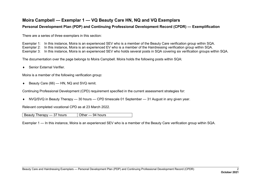# <span id="page-3-0"></span>**Moira Campbell — Exemplar 1 — VQ Beauty Care HN, NQ and VQ Exemplars**

#### **Personal Development Plan (PDP) and Continuing Professional Development Record (CPDR) — Exemplification**

There are a series of three exemplars in this section:

Exemplar 1: In this instance, Moira is an experienced SEV who is a member of the Beauty Care verification group within SQA.

Exemplar 2: In this instance, Moira is an experienced EV who is a member of the Hairdressing verification group within SQA.

Exemplar 3: In this instance, Moira is an experienced SEV who holds several posts in SQA covering six verification groups within SQA.

The documentation over the page belongs to Moira Campbell. Moira holds the following posts within SQA:

♦ Senior External Verifier.

Moira is a member of the following verification group:

♦ Beauty Care (66) — HN, NQ and SVQ remit.

Continuing Professional Development (CPD) requirement specified in the current assessment strategies for:

♦ NVQ/SVQ in Beauty Therapy — 30 hours — CPD timescale 01 September — 31 August in any given year.

Relevant completed vocational CPD as at 23 March 2022.

Beauty Therapy  $-37$  hours  $\vert$  Other  $-94$  hours

Exemplar 1 — In this instance, Moira is an experienced SEV who is a member of the Beauty Care verification group within SQA.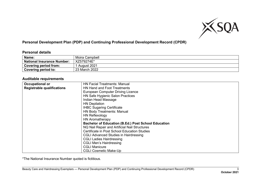

## **Personal Development Plan (PDP) and Continuing Professional Development Record (CPDR)**

#### **Personal details**

| Name:                             | Moira Campbell |
|-----------------------------------|----------------|
| <b>National Insurance Number:</b> | XZ579274E*     |
| Covering period from:             | August 2021    |
| <b>Covering period to:</b>        | 23 March 2022  |

#### **Auditable requirements**

| Occupational or                   | <b>HN Facial Treatments: Manual</b>                        |  |
|-----------------------------------|------------------------------------------------------------|--|
| <b>Registrable qualifications</b> | <b>HN Hand and Foot Treatments</b>                         |  |
|                                   | <b>European Computer Driving Licence</b>                   |  |
|                                   | HN Safe Hygienic Salon Practices                           |  |
|                                   | Indian Head Massage                                        |  |
|                                   | <b>HN Depilation</b>                                       |  |
|                                   | <b>IHBC Sugaring Certificate</b>                           |  |
|                                   | <b>HN Body Treatments: Manual</b>                          |  |
|                                   | HN Reflexology                                             |  |
|                                   | <b>HN Aromatherapy</b>                                     |  |
|                                   | <b>Bachelor of Education (B.Ed.) Post School Education</b> |  |
|                                   | NQ Nail Repair and Artificial Nail Structures              |  |
|                                   | Certificate in Post School Education Studies               |  |
|                                   | <b>CGLI Advanced Studies in Hairdressing</b>               |  |
|                                   | <b>CGLI Ladies Hairdressing</b>                            |  |
|                                   | <b>CGLI Men's Hairdressing</b>                             |  |
|                                   | <b>CGLI Manicure</b>                                       |  |
|                                   | <b>CGLI Cosmetic Make-Up</b>                               |  |

\*The National Insurance Number quoted is fictitious.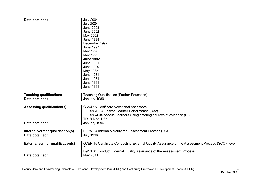| Date obtained: | <b>July 2004</b> |
|----------------|------------------|
|                |                  |
|                | <b>July 2004</b> |
|                | <b>June 2003</b> |
|                | <b>June 2002</b> |
|                | May 2002         |
|                | <b>June 1998</b> |
|                | December 1997    |
|                | <b>June 1997</b> |
|                | May 1996         |
|                | May 1993         |
|                | <b>June 1992</b> |
|                | <b>June 1991</b> |
|                | <b>June 1990</b> |
|                | May 1983         |
|                | <b>June 1981</b> |
|                | <b>June 1981</b> |
|                | <b>June 1981</b> |
|                | <b>June 1981</b> |

| ---<br>шк        | .<br>. .<br>.<br>∟ducation<br>eaching<br>∩er<br>Jalific⁄<br>ation<br>uu<br>- 60 51<br>. |
|------------------|-----------------------------------------------------------------------------------------|
| Date             | <b>989</b>                                                                              |
| <u>ാ</u> obtaine | Januar                                                                                  |

| <b>Assessing qualification(s)</b> | G6A4 15 Certificate Vocational Assessors                          |  |  |  |
|-----------------------------------|-------------------------------------------------------------------|--|--|--|
|                                   | B2WH 04 Assess Learner Performance (D32)                          |  |  |  |
|                                   | B2WJ 04 Assess Learners Using differing sources of evidence (D33) |  |  |  |
|                                   | <b>TDLB D32, D33</b>                                              |  |  |  |
| Date obtained:                    | January 1996                                                      |  |  |  |

| .<br>aualification(s)<br>Inte<br>-----<br>verifier<br>∠naı | (D34<br>B08W<br>Assessment<br>$\lceil$ ornally $\lceil$<br><b>Intern</b><br>∵the .<br>Procacc<br>Veritv<br>04<br><b>UUGSS</b> |
|------------------------------------------------------------|-------------------------------------------------------------------------------------------------------------------------------|
| <b>Date</b>                                                | 1996                                                                                                                          |
| obtained.                                                  | July                                                                                                                          |

| <b>External verifier qualification(s)</b> | G7EP 15 Certificate Conducting External Quality Assurance of the Assessment Process (SCQF level |  |  |  |
|-------------------------------------------|-------------------------------------------------------------------------------------------------|--|--|--|
|                                           |                                                                                                 |  |  |  |
|                                           | D94N 04 Conduct External Quality Assurance of the Assessment Process                            |  |  |  |
| Date obtained:                            | May 2011                                                                                        |  |  |  |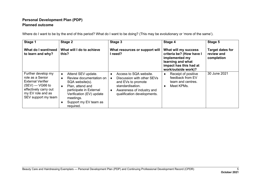# **Personal Development Plan (PDP) Planned outcome**

| Stage 1                                                                                                                                                      | Stage 2                                                                                                                                                                                             | Stage 3                                                                                                                                                    | Stage 4                                                                                                                                  | Stage 5                                             |
|--------------------------------------------------------------------------------------------------------------------------------------------------------------|-----------------------------------------------------------------------------------------------------------------------------------------------------------------------------------------------------|------------------------------------------------------------------------------------------------------------------------------------------------------------|------------------------------------------------------------------------------------------------------------------------------------------|-----------------------------------------------------|
| What do I want/need<br>to learn and why?                                                                                                                     | What will I do to achieve<br>this?                                                                                                                                                                  | What resources or support will<br>need?                                                                                                                    | What will my success<br>criteria be? (How have I<br>implemented my<br>learning and what<br>impact has this had at<br>work/outside work)? | <b>Target dates for</b><br>review and<br>completion |
| Further develop my<br>role as a Senior<br><b>External Verifier</b><br>$(SEV)$ — VG66 to<br>effectively carry out<br>my EV role and as<br>SEV support my team | Attend SEV update.<br>٠<br>Review documentation on<br>SQA website(s).<br>Plan, attend and<br>participate in External<br>Verification (EV) update<br>meetings.<br>Support my EV team as<br>required. | Access to SQA website.<br>Discussion with other SEVs<br>and EVs to promote<br>standardisation.<br>Awareness of industry and<br>qualification developments. | Receipt of positive<br>٠<br>feedback from EV<br>team and centres.<br>Meet KPMs.<br>٠                                                     | 30 June 2021                                        |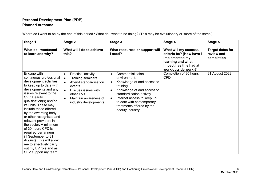# **Personal Development Plan (PDP) Planned outcome**

| Stage 1                                                                                                                                                                                                                                                                                                                                                                                                                                                                                                                      | Stage 2                                                                                                                                                                                                            | Stage 3                                                                                                                                                                                                                                                                                | Stage 4                                                                                                                                  | Stage 5                                             |
|------------------------------------------------------------------------------------------------------------------------------------------------------------------------------------------------------------------------------------------------------------------------------------------------------------------------------------------------------------------------------------------------------------------------------------------------------------------------------------------------------------------------------|--------------------------------------------------------------------------------------------------------------------------------------------------------------------------------------------------------------------|----------------------------------------------------------------------------------------------------------------------------------------------------------------------------------------------------------------------------------------------------------------------------------------|------------------------------------------------------------------------------------------------------------------------------------------|-----------------------------------------------------|
| What do I want/need<br>to learn and why?                                                                                                                                                                                                                                                                                                                                                                                                                                                                                     | What will I do to achieve<br>this?                                                                                                                                                                                 | What resources or support will<br>I need?                                                                                                                                                                                                                                              | What will my success<br>criteria be? (How have I<br>implemented my<br>learning and what<br>impact has this had at<br>work/outside work)? | <b>Target dates for</b><br>review and<br>completion |
| Engage with<br>continuous professional<br>development activities<br>to keep up to date with<br>developments and any<br>issues relevant to the<br><b>SVQ Beauty</b><br>qualification(s) and/or<br>its units. These may<br>include those offered<br>by the awarding body<br>or other recognised and<br>relevant providers in<br>the sector. A minimum<br>of 30 hours CPD is<br>required per annum<br>(1 September to 31<br>August). This will allow<br>me to effectively carry<br>out my EV role and as<br>SEV support my team | Practical activity.<br>٠<br>Training seminars.<br>$\bullet$<br>Attend standardisation<br>events.<br>Discuss issues with<br>$\bullet$<br>other EVs.<br>Maintain awareness of<br>$\bullet$<br>industry developments. | Commercial salon<br>$\bullet$<br>environment.<br>Knowledge of and access to<br>٠<br>training.<br>Knowledge of and access to<br>٠<br>standardisation activity.<br>Internet access to keep up<br>$\bullet$<br>to date with contemporary<br>treatments offered by the<br>beauty industry. | Completion of 30 hours<br><b>CPD</b>                                                                                                     | 31 August 2022                                      |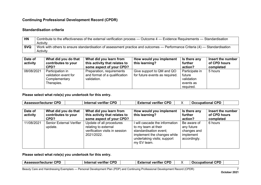#### **Standardisation criteria**

| <b>HN</b>  | Contribute to the effectiveness of the external verification process - Outcome 4 - Evidence Requirements - Standardisation  |
|------------|-----------------------------------------------------------------------------------------------------------------------------|
|            | Activity                                                                                                                    |
| <b>SVQ</b> | Work with others to ensure standardisation of assessment practice and outcomes — Performance Criteria (4) — Standardisation |
|            | Activity                                                                                                                    |

| Date of<br>activity | What did you do that<br>contributes to your<br>CPD?                     | What did you learn from<br>this activity that relates to<br>some aspect of your CPD? | How would you implement<br>this learning?                   | Is there any<br>further<br>action?                               | Insert the number<br>of CPD hours<br>completed |
|---------------------|-------------------------------------------------------------------------|--------------------------------------------------------------------------------------|-------------------------------------------------------------|------------------------------------------------------------------|------------------------------------------------|
| 08/08/2021          | Participation in<br>validation event for<br>Complementary<br>Therapies. | Preparation, requirements<br>and format of a qualification<br>validation.            | Give support to QM and QO<br>for future events as required. | Participate in<br>future<br>validation<br>events as<br>required. | 5 hours                                        |

**Please select what role(s) you undertook for this entry.**

| <b>Assessor/lecturer CPD</b> |                                                     | <b>Internal verifier CPD</b>                                                                     | <b>External verifier CPD</b>                                                                                                                               |                                                                       | <b>Occupational CPD</b>                        |
|------------------------------|-----------------------------------------------------|--------------------------------------------------------------------------------------------------|------------------------------------------------------------------------------------------------------------------------------------------------------------|-----------------------------------------------------------------------|------------------------------------------------|
| Date of<br>activity          | What did you do that<br>contributes to your<br>CPD? | What did you learn from<br>this activity that relates to<br>some aspect of your CPD?             | How would you implement<br>this learning?                                                                                                                  | Is there any<br>further<br>action?                                    | Insert the number<br>of CPD hours<br>completed |
| 11/08/2021                   | <b>Senior External Verifier</b><br>update.          | Update of all procedures<br>relating to external<br>verification visits in session<br>2021/2022. | will cascade the information<br>to my team at their<br>standardisation event;<br>implement the changes while<br>undertaking visits; support<br>my EV team. | Be aware of<br>any future<br>changes and<br>implement<br>accordingly. | 6 hours                                        |

| $\overline{C}$<br>sessor/lecturer_<br>Acc<br>. .<br>wг | ron<br>.<br><b>Internal</b><br>. veritier<br>.<br>wг | $\overline{C}$<br>- -<br>. veritier<br><b>External</b><br>◡┍┖ |              | CPD<br>.<br>. נפחו<br>. IC<br>,,,,,<br>. шаг<br>.<br>◡ |
|--------------------------------------------------------|------------------------------------------------------|---------------------------------------------------------------|--------------|--------------------------------------------------------|
|                                                        |                                                      |                                                               |              |                                                        |
| $\overline{\phantom{a}}$                               | $\sqrt{2}$<br>$\sim$                                 | $\sim$                                                        | (2.555)<br>_ |                                                        |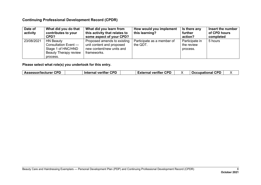| Date of<br>activity | What did you do that<br>contributes to your<br>CPD?                                                        | What did you learn from<br>this activity that relates to<br>some aspect of your CPD?                 | How would you implement<br>this learning? | Is there any<br>further<br>action?       | Insert the number<br>of CPD hours<br>completed |
|---------------------|------------------------------------------------------------------------------------------------------------|------------------------------------------------------------------------------------------------------|-------------------------------------------|------------------------------------------|------------------------------------------------|
| 23/08/2021          | <b>HN Beauty</b><br>Consultation Event -<br>Stage 1 of HNC/HND<br><b>Beauty Therapy review</b><br>process. | Proposed amends to existing<br>unit content and proposed<br>new content/new units and<br>frameworks. | Participate as a member of<br>the QDT.    | Participate in<br>the review<br>process. | 5 hours                                        |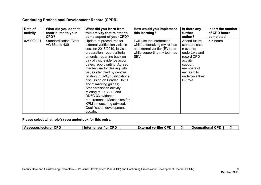| Date of<br>activity | What did you do that<br>contributes to your<br>CPD? | What did you learn from<br>this activity that relates to<br>some aspect of your CPD?                                                                                                                                                                                                                                                                                                                                                                                                                                                                             | How would you implement<br>this learning?                                                                                        | Is there any<br>further<br>action?                                                                                                                             | Insert the number<br>of CPD hours<br>completed |
|---------------------|-----------------------------------------------------|------------------------------------------------------------------------------------------------------------------------------------------------------------------------------------------------------------------------------------------------------------------------------------------------------------------------------------------------------------------------------------------------------------------------------------------------------------------------------------------------------------------------------------------------------------------|----------------------------------------------------------------------------------------------------------------------------------|----------------------------------------------------------------------------------------------------------------------------------------------------------------|------------------------------------------------|
| 02/09/2021          | <b>Standardisation Event</b><br>VG 66 and 430       | Update of procedures for<br>external verification visits in<br>session 2018/2019, ie visit<br>preparation, report criteria<br>amends, reporting back on<br>day of visit, evidence action<br>dates, report writing. Agreed<br>mechanism for dealing with<br>issues identified by centres<br>relating to SVQ qualifications;<br>discussion on Graded Unit 1<br>and 2 marking guides;<br>Standardisation activity<br>relating to F5B3 12 and<br>DN6G 33 evidence<br>requirements. Mechanism for<br>KPM's measuring advised.<br>Qualification development<br>update. | will use the information<br>while undertaking my role as<br>an external verifier (EV) and<br>while supporting my team as<br>SEV. | Attend future<br>standardisatio<br>n events;<br>undertake and<br>record CPD<br>activity;<br>support<br>members of<br>my team to<br>undertake their<br>EV role. | 5.5 hours                                      |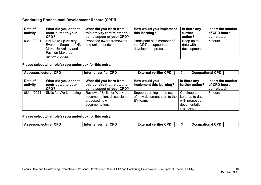| Date of<br>activity | What did you do that<br>contributes to your<br>CPD?                                                        | What did you learn from<br>this activity that relates to<br>some aspect of your CPD? | How would you implement<br>this learning?                                    | Is there any<br>further<br>action?       | Insert the number<br>of CPD hours<br>completed |
|---------------------|------------------------------------------------------------------------------------------------------------|--------------------------------------------------------------------------------------|------------------------------------------------------------------------------|------------------------------------------|------------------------------------------------|
| 03/11/2021          | HN Make-up Artistry<br>Event — Stage 1 of HN<br>Make-Up Artistry and<br>Fashion Make-up<br>review process. | Proposed award framework<br>and unit amends.                                         | Participate as a member of<br>the QDT to support the<br>development process. | Keep up to<br>date with<br>developments. | 5 hours                                        |

**Please select what role(s) you undertook for this entry.**

| <b>Assessor/lecturer CPD</b> |                                                     | <b>Internal verifier CPD</b>                                                                | <b>External verifier CPD</b>                                           | <b>Occupational CPD</b>                                                      |                                                |
|------------------------------|-----------------------------------------------------|---------------------------------------------------------------------------------------------|------------------------------------------------------------------------|------------------------------------------------------------------------------|------------------------------------------------|
| Date of<br>activity          | What did you do that<br>contributes to your<br>CPD? | What did you learn from<br>this activity that relates to<br>some aspect of your CPD?        | How would you<br>implement this learning?                              | Is there any<br>further action?                                              | Insert the number<br>of CPD hours<br>completed |
| 08/11/2021                   | Skills for Work meeting                             | Review of Skills for Work<br>documentation, discussion on<br>proposed new<br>documentation. | Support training in the use<br>of new documentation to the<br>EV team. | Continue to<br>keep up to date<br>with proposed<br>documentation<br>changes. | 3 hours                                        |

| <b>CPD</b><br><b>CPD</b><br>CDP<br>- --<br><b>CPD</b><br><b>Assessor/lecturer</b><br>$-1$<br><b>Interna</b><br>veritier<br>veritier<br><b>TICCUDAL</b><br>. .<br>чна.<br>лно<br>. н. |  |
|--------------------------------------------------------------------------------------------------------------------------------------------------------------------------------------|--|
|--------------------------------------------------------------------------------------------------------------------------------------------------------------------------------------|--|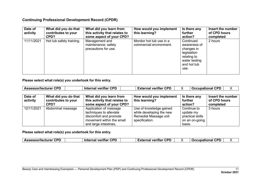| Date of<br>activity | What did you do that<br>contributes to your<br>CPD? | What did you learn from<br>this activity that relates to<br>some aspect of your CPD? | How would you implement<br>this learning?           | Is there any<br>further<br>action?                                                                            | Insert the number<br>of CPD hours<br>completed |
|---------------------|-----------------------------------------------------|--------------------------------------------------------------------------------------|-----------------------------------------------------|---------------------------------------------------------------------------------------------------------------|------------------------------------------------|
| 11/11/2021          | Hot tub safety training.                            | Management and<br>maintenance; safety<br>precautions for use.                        | Monitor hot tub use in a<br>commercial environment. | Continued<br>awareness of<br>changes in<br>legislation<br>relating to<br>water testing<br>and hot tub<br>use. | 2 hours                                        |

**Please select what role(s) you undertook for this entry.**

| <b>Assessor/lecturer CPD</b> |                                                     | <b>Internal verifier CPD</b><br><b>External verifier CPD</b>                                                                      |                                                                                                | <b>Occupational CPD</b>                                                  | X                                              |
|------------------------------|-----------------------------------------------------|-----------------------------------------------------------------------------------------------------------------------------------|------------------------------------------------------------------------------------------------|--------------------------------------------------------------------------|------------------------------------------------|
| Date of<br>activity          | What did you do that<br>contributes to your<br>CPD? | What did you learn from<br>this activity that relates to<br>some aspect of your CPD?                                              | How would you implement<br>this learning?                                                      | Is there any<br>further<br>action?                                       | Insert the number<br>of CPD hours<br>completed |
| 12/11/2021                   | Abdominal massage                                   | Application of massage<br>techniques to alleviate<br>discomfort and promote<br>movement within the small<br>and large intestines. | Use of knowledge gained<br>while developing the new<br>Remedial Massage unit<br>specification. | Continue to<br>update my<br>practical skills<br>on an on-going<br>basis. | 3 hours                                        |

| <b>CPD</b><br><b>CDD</b><br><b>Assessor/lectu</b><br><b>Internal</b><br>veritier<br>cturer<br>. | verifier CPD<br>-vtornal<br>-vigue<br>на |  | <b>CDD</b><br>'ur<br>ıaı<br>a sec a a sec a a a a consecu-<br>. . |  |
|-------------------------------------------------------------------------------------------------|------------------------------------------|--|-------------------------------------------------------------------|--|
|-------------------------------------------------------------------------------------------------|------------------------------------------|--|-------------------------------------------------------------------|--|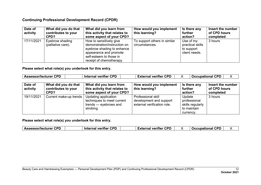| Date of<br>activity | What did you do that<br>contributes to your<br>CPD? | What did you learn from<br>this activity that relates to<br>some aspect of your CPD?                                                                                   | How would you implement<br>this learning?      | Is there any<br>further<br>action?                           | Insert the number<br>of CPD hours<br>completed |
|---------------------|-----------------------------------------------------|------------------------------------------------------------------------------------------------------------------------------------------------------------------------|------------------------------------------------|--------------------------------------------------------------|------------------------------------------------|
| 17/11/2021          | Eyebrow shading<br>(palliative care).               | How to sensitively give<br>demonstration/instruction on<br>eyebrow shading to enhance<br>appearance and promote<br>self-esteem to those in<br>receipt of chemotherapy. | To support others in similar<br>circumstances. | Use of my<br>practical skills<br>to support<br>client needs. | 3 hours                                        |

#### **Please select what role(s) you undertook for this entry.**

| <b>Assessor/lecturer CPD</b> |                                                     | <b>Internal verifier CPD</b>                                                             | <b>External verifier CPD</b>                                                 |                                                                        | <b>Occupational CPD</b><br>X                   |
|------------------------------|-----------------------------------------------------|------------------------------------------------------------------------------------------|------------------------------------------------------------------------------|------------------------------------------------------------------------|------------------------------------------------|
| Date of<br>activity          | What did you do that<br>contributes to your<br>CPD? | What did you learn from<br>this activity that relates to<br>some aspect of your CPD?     | How would you implement<br>this learning?                                    | Is there any<br>further<br>action?                                     | Insert the number<br>of CPD hours<br>completed |
| 19/11/2021                   | Current make-up trends                              | Updating application<br>techniques to meet current<br>trends — eyebrows and<br>strobing. | Professional skill<br>development and support<br>external verification role. | Update<br>professional<br>skills regularly<br>to maintain<br>currency. | 3 hours                                        |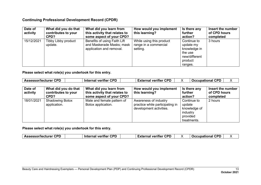| Date of<br>activity | What did you do that<br>contributes to your<br>CPD? | What did you learn from<br>this activity that relates to<br>some aspect of your CPD?  | How would you implement<br>this learning?                     | Is there any<br>further<br>action?                                                         | Insert the number<br>of CPD hours<br>completed |
|---------------------|-----------------------------------------------------|---------------------------------------------------------------------------------------|---------------------------------------------------------------|--------------------------------------------------------------------------------------------|------------------------------------------------|
| 15/12/2021          | Tibby Libby product<br>update.                      | Benefits of using Faith Lift<br>and Maskerade Masks; mask<br>application and removal. | While using this product<br>range in a commercial<br>setting. | Continue to<br>update my<br>knowledge in<br>the use<br>new/different<br>product<br>ranges. | 3 hours                                        |

**Please select what role(s) you undertook for this entry.**

| <b>Assessor/lecturer CPD</b> |                                                     | <b>Internal verifier CPD</b>                                                         | <b>External verifier CPD</b>                                                        |                                                                              | <b>Occupational CPD</b><br>X                   |
|------------------------------|-----------------------------------------------------|--------------------------------------------------------------------------------------|-------------------------------------------------------------------------------------|------------------------------------------------------------------------------|------------------------------------------------|
| Date of<br>activity          | What did you do that<br>contributes to your<br>CPD? | What did you learn from<br>this activity that relates to<br>some aspect of your CPD? | How would you implement<br>this learning?                                           | Is there any<br>further<br>action?                                           | Insert the number<br>of CPD hours<br>completed |
| 18/01/2021                   | <b>Shadowing Botox</b><br>application.              | Male and female pattern of<br>Botox application.                                     | Awareness of industry<br>practice while participating in<br>development activities. | Continue to<br>update<br>knowledge of<br>industry<br>provided<br>treatments. | 2 hours                                        |

| ∴CPD<br>∟Assessor/lecturer | <b>CPD</b><br><b>Internal verifier</b> | <b>CPD</b><br><b>External verifier</b> |  | <b>Occupational CPD</b> |  |
|----------------------------|----------------------------------------|----------------------------------------|--|-------------------------|--|
|----------------------------|----------------------------------------|----------------------------------------|--|-------------------------|--|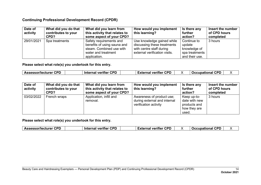| Date of<br>activity | What did you do that<br>contributes to your<br>CPD? | What did you learn from<br>this activity that relates to<br>some aspect of your CPD?                                      | How would you implement<br>this learning?                                                                              | Is there any<br>further<br>action?                                        | Insert the number<br>of CPD hours<br>completed |
|---------------------|-----------------------------------------------------|---------------------------------------------------------------------------------------------------------------------------|------------------------------------------------------------------------------------------------------------------------|---------------------------------------------------------------------------|------------------------------------------------|
| 29/01/2021          | Spa treatments                                      | Safety requirements and<br>benefits of using sauna and<br>steam. Combined use with<br>water and treatment<br>application. | Use knowledge gained while<br>discussing these treatments<br>with centre staff during<br>external verification visits. | Continue to<br>update<br>knowledge of<br>spa treatments<br>and their use. | 3 hours                                        |

**Please select what role(s) you undertook for this entry.**

| CPD<br><b>CPD</b><br><b>Assessor/lecturer CPD</b><br><b>CPD</b><br>-wannal<br>Occupational<br>l veritier<br>Internal verifier<br>тна.<br>.XLF |  |
|-----------------------------------------------------------------------------------------------------------------------------------------------|--|
|-----------------------------------------------------------------------------------------------------------------------------------------------|--|

| Date of<br>activity | What did you do that<br>contributes to your<br>CPD? | What did you learn from<br>this activity that relates to<br>some aspect of your CPD? | How would you implement<br>this learning?                                          | Is there any<br>further<br>action?                                    | Insert the number<br>of CPD hours<br>completed |
|---------------------|-----------------------------------------------------|--------------------------------------------------------------------------------------|------------------------------------------------------------------------------------|-----------------------------------------------------------------------|------------------------------------------------|
| 03/02/2022          | French wraps                                        | Application, infill and<br>removal.                                                  | Awareness of product use;<br>during external and internal<br>verification activity | Keep up-to-<br>date with new<br>products and<br>how they are<br>used. | 3 hours                                        |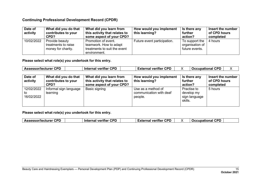| Date of<br>activity | What did you do that<br>contributes to your<br>CPD?         | What did you learn from<br>this activity that relates to<br>some aspect of your CPD?          | How would you implement<br>this learning? | Is there any<br>further<br>action?                  | Insert the number<br>of CPD hours<br>completed |
|---------------------|-------------------------------------------------------------|-----------------------------------------------------------------------------------------------|-------------------------------------------|-----------------------------------------------------|------------------------------------------------|
| 10/02/2022          | Provide beauty<br>treatments to raise<br>money for charity. | Promotion of event.<br>teamwork. How to adapt<br>treatments to suit the event<br>environment. | Future event participation.               | To support the<br>organisation of<br>future events. | 4 hours                                        |

**Please select what role(s) you undertook for this entry.**

| <b>Assessor/lecturer CPD</b>   |                                                     | <b>Internal verifier CPD</b>                                                         | <b>External verifier CPD</b>                             |                                                       | <b>Occupational CPD</b><br>X                   |
|--------------------------------|-----------------------------------------------------|--------------------------------------------------------------------------------------|----------------------------------------------------------|-------------------------------------------------------|------------------------------------------------|
| Date of<br>activity            | What did you do that<br>contributes to your<br>CPD? | What did you learn from<br>this activity that relates to<br>some aspect of your CPD? | How would you implement<br>this learning?                | Is there any<br>further<br>action?                    | Insert the number<br>of CPD hours<br>completed |
| 12/02/2022<br>to<br>16/02/2022 | Informal sign language<br>learning                  | Basic signing                                                                        | Use as a method of<br>communication with deaf<br>people. | Practise to<br>develop my<br>sign language<br>skills. | 5 hours                                        |

| <b>Assessor/lecturer CPD</b> | <b>CPD</b><br><b>Internal verifier</b> | <b>External verifier CPD</b> |  | <b>CPD</b><br>Occupational |  |
|------------------------------|----------------------------------------|------------------------------|--|----------------------------|--|
|------------------------------|----------------------------------------|------------------------------|--|----------------------------|--|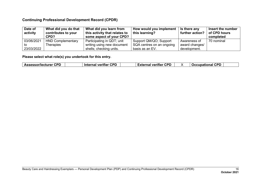| Date of<br>activity | What did you do that<br>contributes to your<br>CPD? | What did you learn from<br>this activity that relates to<br>some aspect of your CPD? | How would you implement<br>this learning? | Is there any<br>further action? | Insert the number<br>of CPD hours<br>completed |
|---------------------|-----------------------------------------------------|--------------------------------------------------------------------------------------|-------------------------------------------|---------------------------------|------------------------------------------------|
| 03/06/2021          | <b>HND Complementary</b>                            | Participating in QDT; unit                                                           | Support QM/QO; Support                    | Awareness of                    | 70 nominal                                     |
| to                  | Therapies                                           | writing using new document                                                           | SQA centres on an ongoing                 | award changes/                  |                                                |
| 23/03/2022          |                                                     | shells; checking units.                                                              | basis as an EV.                           | development.                    |                                                |

|  | CDD<br>∣ Assessor/lecturer<br> |  | CDD<br>$- - -$<br>.<br>ше<br>. |  | <b>CDF</b><br>- --<br>. <b>.</b> .<br>verifier<br>н о<br>uг |  | CDD<br>unat<br>$\sim$<br>ю |  |
|--|--------------------------------|--|--------------------------------|--|-------------------------------------------------------------|--|----------------------------|--|
|--|--------------------------------|--|--------------------------------|--|-------------------------------------------------------------|--|----------------------------|--|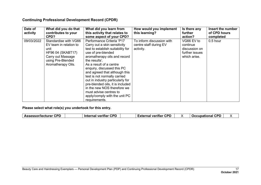| Date of<br>activity | What did you do that<br>contributes to your<br>CPD?                                                                                                 | What did you learn from<br>this activity that relates to<br>some aspect of your CPD?                                                                                                                                                                                                                                                                                                                                                                                               | How would you implement<br>this learning?                        | Is there any<br>further<br>action?                                        | Insert the number<br>of CPD hours<br>completed |
|---------------------|-----------------------------------------------------------------------------------------------------------------------------------------------------|------------------------------------------------------------------------------------------------------------------------------------------------------------------------------------------------------------------------------------------------------------------------------------------------------------------------------------------------------------------------------------------------------------------------------------------------------------------------------------|------------------------------------------------------------------|---------------------------------------------------------------------------|------------------------------------------------|
| 09/03/2022          | Standardise with VG66<br>EV team in relation to<br>unit<br><b>HF96 04 (SKABT17)</b><br>Carry out Massage<br>using Pre-Blended<br>Aromatherapy Oils. | Performance Criteria 'P17<br>Carry out a skin sensitivity<br>test to establish suitability for<br>use of pre-blended<br>aromatherapy oils and record<br>the results'.<br>As a result of a centre<br>enquiry, discussed this PC<br>and agreed that although this<br>test is not normally carried<br>out in industry particularly for<br>pre-blended oils, it is included<br>in the new NOS therefore we<br>must advise centres to<br>apply/comply with the unit PC<br>requirements. | To inform discussion with<br>centre staff during EV<br>activity. | VG66 EV to<br>continue<br>discussion on<br>further issues<br>which arise. | $0.5$ hour                                     |

| External verifier⊣<br>⊿l veritier<br><b>Occupational</b><br><b>Internal</b><br><b>ALP</b> | <b>Assessor/lecturer CPD</b> |  | CPD | <b>CPD</b> |  | CPD |  |
|-------------------------------------------------------------------------------------------|------------------------------|--|-----|------------|--|-----|--|
|-------------------------------------------------------------------------------------------|------------------------------|--|-----|------------|--|-----|--|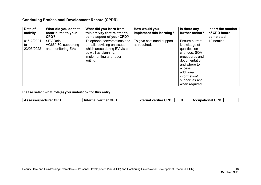| Date of<br>activity            | What did you do that<br>contributes to your<br>CPD?       | What did you learn from<br>this activity that relates to<br>some aspect of your CPD?                                                                     | How would you<br>implement this learning? | Is there any<br>further action?                                                                                                                                                                | Insert the number<br>of CPD hours<br>completed |
|--------------------------------|-----------------------------------------------------------|----------------------------------------------------------------------------------------------------------------------------------------------------------|-------------------------------------------|------------------------------------------------------------------------------------------------------------------------------------------------------------------------------------------------|------------------------------------------------|
| 01/12/2021<br>to<br>23/03/2022 | SEV Role -<br>VG66/430, supporting<br>and monitoring EVs. | Telephone conversations and<br>e-mails advising on issues<br>which arose during EV visits<br>as well as planning,<br>implementing and report<br>writing. | To give continued support<br>as required. | Ensure current<br>knowledge of<br>qualification<br>changes, SQA<br>procedures and<br>documentation<br>and where to<br>access<br>additional<br>information/<br>support as and<br>when required. | 12 nominal                                     |

|  | <b>CPD</b><br>.sor/lecturer<br><b>Assess</b> | ron<br>---<br><b>Internal</b><br>veritier<br>. | <b>CPL</b><br>- --<br>-------<br>veritier<br>.<br>па. |  | CPD<br><b>Scellin</b><br>$-$<br>чаг |
|--|----------------------------------------------|------------------------------------------------|-------------------------------------------------------|--|-------------------------------------|
|--|----------------------------------------------|------------------------------------------------|-------------------------------------------------------|--|-------------------------------------|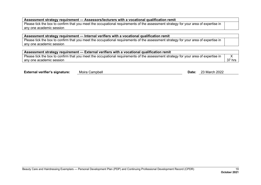#### **Assessment strategy requirement — Assessors/lecturers with a vocational qualification remit**

Please tick the box to confirm that you meet the occupational requirements of the assessment strategy for your area of expertise in any one academic session

#### **Assessment strategy requirement — Internal verifiers with a vocational qualification remit**

Please tick the box to confirm that you meet the occupational requirements of the assessment strategy for your area of expertise in any one academic session

| $^\text{!}$ Assessment strategy requirement — External verifiers with a vocational qualification remit                              |        |
|-------------------------------------------------------------------------------------------------------------------------------------|--------|
| Please tick the box to confirm that you meet the occupational requirements of the assessment strategy for your area of expertise in |        |
| any one academic session                                                                                                            | 37 hrs |

|  | <b>External verifier's signature:</b> | Moira Campbell | Date: | 23 March 2022 |
|--|---------------------------------------|----------------|-------|---------------|
|--|---------------------------------------|----------------|-------|---------------|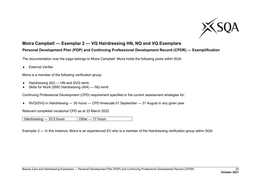

# <span id="page-21-0"></span>**Moira Campbell — Exemplar 2 — VQ Hairdressing HN, NQ and VQ Exemplars**

# **Personal Development Plan (PDP) and Continuing Professional Development Record (CPDR) — Exemplification**

The documentation over the page belongs to Moira Campbell. Moira holds the following posts within SQA:

♦ External Verifier

Moira is a member of the following verification group:

- ♦ Hairdressing (62) HN and SVQ remit.
- ♦ Skills for Work (SfW) Hairdressing (404) NQ remit

Continuing Professional Development (CPD) requirement specified in the current assessment strategies for:

♦ NVQ/SVQ in Hairdressing — 30 hours — CPD timescale 01 September — 31 August in any given year

Relevant completed vocational CPD as at 23 March 2022.

Hairdressing  $-33.5$  hours  $\sqrt{$  Other  $-17$  hours

Exemplar 2 — In this instance, Moira is an experienced EV who is a member of the Hairdressing verification group within SQA.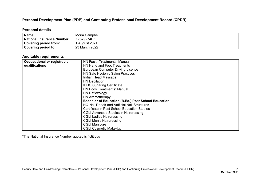#### **Personal Development Plan (PDP) and Continuing Professional Development Record (CPDR)**

#### **Personal details**

| Name:                             | Moira Campbell |
|-----------------------------------|----------------|
| <b>National Insurance Number:</b> | XZ579274E*     |
| <b>Covering period from:</b>      | August 2021    |
| <b>Covering period to:</b>        | 23 March 2022  |

#### **Auditable requirements**

| <b>Occupational or registrable</b> | <b>HN Facial Treatments: Manual</b>                        |
|------------------------------------|------------------------------------------------------------|
| qualifications                     | HN Hand and Foot Treatments                                |
|                                    | <b>European Computer Driving Licence</b>                   |
|                                    | HN Safe Hygienic Salon Practices                           |
|                                    | Indian Head Massage                                        |
|                                    | <b>HN Depilation</b>                                       |
|                                    | <b>IHBC Sugaring Certificate</b>                           |
|                                    | <b>HN Body Treatments: Manual</b>                          |
|                                    | <b>HN Reflexology</b>                                      |
|                                    | <b>HN Aromatherapy</b>                                     |
|                                    | <b>Bachelor of Education (B.Ed.) Post School Education</b> |
|                                    | NQ Nail Repair and Artificial Nail Structures              |
|                                    | Certificate in Post School Education Studies               |
|                                    | <b>CGLI Advanced Studies in Hairdressing</b>               |
|                                    | <b>CGLI Ladies Hairdressing</b>                            |
|                                    | <b>CGLI Men's Hairdressing</b>                             |
|                                    | <b>CGLI Manicure</b>                                       |
|                                    | <b>CGLI Cosmetic Make-Up</b>                               |

\*The National Insurance Number quoted is fictitious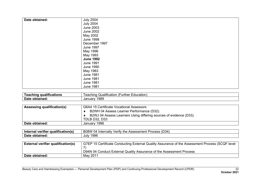| Date obtained: | <b>July 2004</b> |
|----------------|------------------|
|                |                  |
|                | <b>July 2004</b> |
|                | <b>June 2003</b> |
|                | <b>June 2002</b> |
|                | May 2002         |
|                | <b>June 1998</b> |
|                | December 1997    |
|                | <b>June 1997</b> |
|                | May 1996         |
|                | May 1993         |
|                | <b>June 1992</b> |
|                | <b>June 1991</b> |
|                | <b>June 1990</b> |
|                | May 1983         |
|                | <b>June 1981</b> |
|                | <b>June 1981</b> |
|                | <b>June 1981</b> |
|                | <b>June 1981</b> |

| ----<br>alite | :ducation<br>atio.<br>JI.<br>- - - - -<br>$\sim$<br>urthe<br>таннс:<br><br>co |
|---------------|-------------------------------------------------------------------------------|
| Date          | 989<br>∪anuarv                                                                |

| <b>Assessing qualification(s)</b> | G6A4 15 Certificate Vocational Assessors                           |
|-----------------------------------|--------------------------------------------------------------------|
|                                   | B2WH 04 Assess Learner Performance (D32).                          |
|                                   | B2WJ 04 Assess Learners Using differing sources of evidence (D33). |
|                                   | TDLB D32, D33                                                      |
| Date obtained:                    | January 1996                                                       |

| ---<br>---<br>aualification(s<br><b>Interna</b><br>verifier<br>энгаг | (D34)<br>B08W<br>the<br>Assessment .<br>Verity<br>Process<br>Internally<br>114<br>$\cdot$ |
|----------------------------------------------------------------------|-------------------------------------------------------------------------------------------|
| <b>Date</b>                                                          | 1996                                                                                      |
| obtained:                                                            | July                                                                                      |

| <b>External verifier qualification(s)</b> | G7EP 15 Certificate Conducting External Quality Assurance of the Assessment Process (SCQF level |
|-------------------------------------------|-------------------------------------------------------------------------------------------------|
|                                           |                                                                                                 |
|                                           | D94N 04 Conduct External Quality Assurance of the Assessment Process                            |
| Date obtained:                            | May 2011                                                                                        |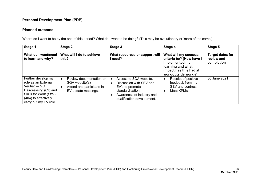#### **Planned outcome**

| Stage 1                                                                                                                                                       | Stage 2                                                                                        | Stage 3                                                                                                                                             | Stage 4                                                                                                                                  | Stage 5                                             |
|---------------------------------------------------------------------------------------------------------------------------------------------------------------|------------------------------------------------------------------------------------------------|-----------------------------------------------------------------------------------------------------------------------------------------------------|------------------------------------------------------------------------------------------------------------------------------------------|-----------------------------------------------------|
| What do I want/need<br>to learn and why?                                                                                                                      | What will I do to achieve<br>this?                                                             | What resources or support will<br>l need?                                                                                                           | What will my success<br>criteria be? (How have I<br>implemented my<br>learning and what<br>impact has this had at<br>work/outside work)? | <b>Target dates for</b><br>review and<br>completion |
| Further develop my<br>role as an External<br>Verifier — VG<br>Hairdressing (62) and<br>Skills for Work (SfW)<br>(404) to effectively<br>carry out my EV role. | Review documentation on<br>SQA website(s).<br>Attend and participate in<br>EV update meetings. | Access to SQA website.<br>Discussion with SEV and<br>EV's to promote<br>standardisation.<br>Awareness of industry and<br>qualification development. | Receipt of positive<br>feedback from my<br>SEV and centres.<br>Meet KPMs.                                                                | 30 June 2021                                        |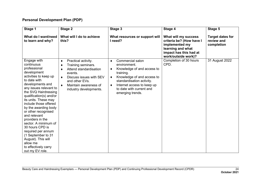| Stage 1                                                                                                                                                                                                                                                                                                                                                                                                                                                                                                    | Stage 2                                                                                                                                                                                       | Stage 3                                                                                                                                                                                                                                  | Stage 4                                                                                                                                  | Stage 5                                             |
|------------------------------------------------------------------------------------------------------------------------------------------------------------------------------------------------------------------------------------------------------------------------------------------------------------------------------------------------------------------------------------------------------------------------------------------------------------------------------------------------------------|-----------------------------------------------------------------------------------------------------------------------------------------------------------------------------------------------|------------------------------------------------------------------------------------------------------------------------------------------------------------------------------------------------------------------------------------------|------------------------------------------------------------------------------------------------------------------------------------------|-----------------------------------------------------|
| What do I want/need<br>to learn and why?                                                                                                                                                                                                                                                                                                                                                                                                                                                                   | What will I do to achieve<br>this?                                                                                                                                                            | What resources or support will<br>I need?                                                                                                                                                                                                | What will my success<br>criteria be? (How have I<br>implemented my<br>learning and what<br>impact has this had at<br>work/outside work)? | <b>Target dates for</b><br>review and<br>completion |
| Engage with<br>continuous<br>professional<br>development<br>activities to keep up<br>to date with<br>developments and<br>any issues relevant to<br>the SVQ Hairdressing<br>qualification(s) and/or<br>its units. These may<br>include those offered<br>by the awarding body<br>or other recognised<br>and relevant<br>providers in the<br>sector. A minimum of<br>30 hours CPD is<br>required per annum<br>(1 September to 31<br>August). This will<br>allow me<br>to effectively carry<br>out my EV role. | Practical activity.<br>٠<br>Training seminars.<br>٠<br>Attend standardisation<br>٠<br>events.<br>Discuss issues with SEV<br>and other EVs.<br>Maintain awareness of<br>industry developments. | Commercial salon<br>٠<br>environment.<br>Knowledge of and access to<br>٠<br>training.<br>Knowledge of and access to<br>٠<br>standardisation activity.<br>Internet access to keep up<br>٠<br>to date with current and<br>emerging trends. | Completion of 30 hours<br>CPD.                                                                                                           | 31 August 2022                                      |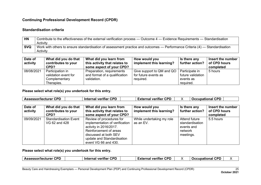#### **Standardisation criteria**

| <b>HN</b>  | Contribute to the effectiveness of the external verification process — Outcome 4 — Evidence Requirements — Standardisation  |
|------------|-----------------------------------------------------------------------------------------------------------------------------|
|            | Activity                                                                                                                    |
| <b>SVQ</b> | Work with others to ensure standardisation of assessment practice and outcomes — Performance Criteria (4) — Standardisation |
|            | Activity                                                                                                                    |

| Date of<br>activity | What did you do that<br>contributes to your<br>CPD?                     | What did you learn from<br>this activity that relates to<br>some aspect of your CPD? | How would you<br>implement this learning?                      | Is there any<br>further action?                               | Insert the number<br>of CPD hours<br>completed |
|---------------------|-------------------------------------------------------------------------|--------------------------------------------------------------------------------------|----------------------------------------------------------------|---------------------------------------------------------------|------------------------------------------------|
| 08/08/2021          | Participation in<br>validation event for<br>Complementary<br>Therapies. | Preparation, requirements<br>and format of a qualification<br>validation.            | Give support to QM and QO<br>for future events as<br>required. | Participate in<br>future validation<br>events as<br>required. | 5 hours                                        |

#### **Please select what role(s) you undertook for this entry.**

| <b>Assessor/lecturer CPD</b> |                                                     | Internal verifier CPD                                                                                                                                                                         | <b>External verifier CPD</b>              |                                                                        | <b>Occupational CPD</b>                        |
|------------------------------|-----------------------------------------------------|-----------------------------------------------------------------------------------------------------------------------------------------------------------------------------------------------|-------------------------------------------|------------------------------------------------------------------------|------------------------------------------------|
| Date of<br>activity          | What did you do that<br>contributes to your<br>CPD? | What did you learn from<br>this activity that relates to<br>some aspect of your CPD?                                                                                                          | How would you<br>implement this learning? | Is there any<br>further action?                                        | Insert the number<br>of CPD hours<br>completed |
| 09/09/2021                   | <b>Standardisation Event</b><br>VG 62 and 428       | Review of procedures for<br>implementation of verification<br>activity in 2016/2017.<br>Reinforcement of areas<br>discussed at both SEV<br>update and Standardisation<br>event VG 66 and 430. | While undertaking my role<br>as an EV.    | Attend future<br>standardisation<br>events and<br>network<br>meetings. | 5.5 hours                                      |

| <b>Interna</b><br>Ass<br><b>VArit</b><br>cturer<br>יםוי.<br>v<br><br>. <del>. .</del><br><br>на<br>ю<br>w<br>$\overline{\phantom{a}}$ |
|---------------------------------------------------------------------------------------------------------------------------------------|
|---------------------------------------------------------------------------------------------------------------------------------------|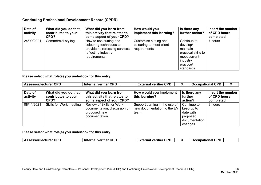| Date of<br>activity | What did you do that<br>contributes to your<br>CPD? | What did you learn from<br>this activity that relates to<br>some aspect of your CPD?                                       | How would you<br>implement this learning?                          | Is there any<br>further action?                                                                                   | Insert the number<br>of CPD hours<br>completed |
|---------------------|-----------------------------------------------------|----------------------------------------------------------------------------------------------------------------------------|--------------------------------------------------------------------|-------------------------------------------------------------------------------------------------------------------|------------------------------------------------|
| 24/09/2021          | Commercial styling                                  | How to use cutting and<br>colouring techniques to<br>provide hairdressing services<br>reflecting industry<br>requirements. | Customise cutting and<br>colouring to meet client<br>requirements. | Continue to<br>develop/<br>maintain<br>practical skills to<br>meet current<br>industry<br>practice/<br>standards. | 7 hours                                        |

**Please select what role(s) you undertook for this entry.**

| ∴Assessor/lecturer<br><b>Internal</b><br>veritier<br>External verifier<br>Occupational<br>ша<br>. | <b>CPD</b> | rdr | <b>CPD</b> |  | <b>CPD</b> |  |
|---------------------------------------------------------------------------------------------------|------------|-----|------------|--|------------|--|
|---------------------------------------------------------------------------------------------------|------------|-----|------------|--|------------|--|

| Date of<br>activity | What did you do that<br>contributes to your<br>CPD? | What did you learn from<br>this activity that relates to<br>some aspect of your CPD?        | How would you implement<br>this learning?                              | Is there any<br>further<br>action?                                              | Insert the number<br>of CPD hours<br>completed |
|---------------------|-----------------------------------------------------|---------------------------------------------------------------------------------------------|------------------------------------------------------------------------|---------------------------------------------------------------------------------|------------------------------------------------|
| 08/11/2021          | Skills for Work meeting                             | Review of Skills for Work<br>documentation, discussion on<br>proposed new<br>documentation. | Support training in the use of<br>new documentation to the EV<br>team. | Continue to<br>keep up to<br>date with<br>proposed<br>documentation<br>changes. | 3 hours                                        |

| ron<br>cor<br>ron<br><b>Assessor/lecturer</b><br>veritier<br>Intarne<br>------<br>veritier<br>$\mathbf{v}$<br>าเทะ<br>Ос.<br>יפ<br>-XIP.<br>н<br>. | <b>CPD</b> |
|----------------------------------------------------------------------------------------------------------------------------------------------------|------------|
|----------------------------------------------------------------------------------------------------------------------------------------------------|------------|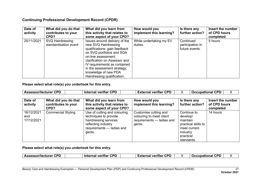| Date of<br>activity | What did you do that<br>contributes to your<br>CPD? | What did you learn from<br>this activity that relates to<br>some aspect of your CPD?                                                                                                                                                                                                              | How would you<br>implement this learning? | Is there any<br>further action?                 | Insert the number<br>of CPD hours<br>completed |
|---------------------|-----------------------------------------------------|---------------------------------------------------------------------------------------------------------------------------------------------------------------------------------------------------------------------------------------------------------------------------------------------------|-------------------------------------------|-------------------------------------------------|------------------------------------------------|
| 25/11/2021          | SVQ Hairdressing<br>standardisation event           | Issues around delivery of the<br>new SVQ Hairdressing<br>qualifications; gain feedback<br>on SVQ portfolios and SQA<br>on-line assessment;<br>clarification on Assessor and<br>IV requirements as contained<br>in the assessment strategy;<br>knowledge of new PDA<br>Hairdressing qualification. | While undertaking my EV<br>duties.        | Continued<br>participation in<br>future events. | 5 hours                                        |

**Please select what role(s) you undertook for this entry.**

| <b>Assessor/lecturer CPD</b>    |                                                     | <b>Internal verifier CPD</b>                                                                                                                 | <b>External verifier CPD</b>                                                             | <b>Occupational CPD</b>                                                                                           |                                                |
|---------------------------------|-----------------------------------------------------|----------------------------------------------------------------------------------------------------------------------------------------------|------------------------------------------------------------------------------------------|-------------------------------------------------------------------------------------------------------------------|------------------------------------------------|
| Date of<br>activity             | What did you do that<br>contributes to your<br>CPD? | What did you learn from<br>this activity that relates to<br>some aspect of your CPD?                                                         | How would you<br>implement this learning?                                                | Is there any<br>further action?                                                                                   | Insert the number<br>of CPD hours<br>completed |
| 16/12/2021<br>and<br>17/12/2021 | <b>Commercial Styling</b>                           | Use of cutting and colouring<br>techniques to provide<br>hairdressing services<br>reflecting industry<br>requirements - ladies and<br>gents. | Customise cutting and<br>colouring to meet client<br>requirements - ladies and<br>gents. | Continue to<br>develop/<br>maintain<br>practical skills to<br>meet current<br>industry<br>practice/<br>standards. | 14 hours                                       |

| <b>Assessor/lecturer CPD</b> | <b>Internal verifier CPD</b> | <b>External verifier CPD</b> |  | <b>Occupational CPD</b> |  |
|------------------------------|------------------------------|------------------------------|--|-------------------------|--|
|------------------------------|------------------------------|------------------------------|--|-------------------------|--|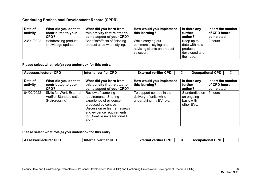| Date of<br>activity | What did you do that<br>contributes to your<br>CPD? | What did you learn from<br>this activity that relates to<br>some aspect of your CPD? | How would you implement<br>this learning?                                                 | Is there any<br>further<br>action?                                     | Insert the number<br>of CPD hours<br>completed |
|---------------------|-----------------------------------------------------|--------------------------------------------------------------------------------------|-------------------------------------------------------------------------------------------|------------------------------------------------------------------------|------------------------------------------------|
| 23/01/2022          | Hairdressing product<br>knowledge update.           | Benefits/effects of finishing<br>product used when styling.                          | While carrying out<br>commercial styling and<br>advising clients on product<br>selection. | Keep up to<br>date with new<br>products<br>developed and<br>their use. | 2 hours                                        |

**Please select what role(s) you undertook for this entry.**

| <b>Assessor/lecturer CPD</b> |                                                                               | <b>Internal verifier CPD</b>                                                                                                                                                                             | <b>External verifier CPD</b>                                                    | <b>Occupational CPD</b>                                  | х                                              |
|------------------------------|-------------------------------------------------------------------------------|----------------------------------------------------------------------------------------------------------------------------------------------------------------------------------------------------------|---------------------------------------------------------------------------------|----------------------------------------------------------|------------------------------------------------|
| Date of<br>activity          | What did you do that<br>contributes to your<br>CPD?                           | What did you learn from<br>this activity that relates to<br>some aspect of your CPD?                                                                                                                     | How would you implement<br>this learning?                                       | Is there any<br>further<br>action?                       | Insert the number<br>of CPD hours<br>completed |
| 04/02/2022                   | <b>Skills for Work External</b><br>Verifier Standardisation<br>(Hairdressing) | Review of sampling<br>requirements. Sharing<br>experience of evidence<br>produced by centres.<br>Discussion re learner reviews<br>and evidence requirements<br>for Creative units National 4<br>and $5.$ | To support centres in the<br>delivery of units while<br>undertaking my EV role. | Standardise on<br>an ongoing<br>basis with<br>other EVs. | 5 hours                                        |

| VΔ<br>-itie <sup>r</sup><br>. .<br>ша<br>. | CPD<br><b>CPD</b><br>CPD<br>рог<br><b>Assessor/lecturer</b><br>veritier<br>$  -$<br><br>------<br>---<br>----<br>---<br>$\cdots$ |  |
|--------------------------------------------|----------------------------------------------------------------------------------------------------------------------------------|--|
|--------------------------------------------|----------------------------------------------------------------------------------------------------------------------------------|--|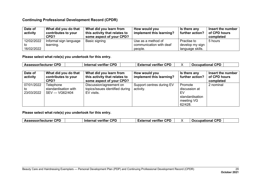| Date of<br>activity | What did you do that<br>contributes to your<br>CPD? | What did you learn from<br>this activity that relates to<br>some aspect of your CPD? | How would you<br>implement this learning? | Is there any<br>further action? | Insert the number<br>of CPD hours<br>completed |
|---------------------|-----------------------------------------------------|--------------------------------------------------------------------------------------|-------------------------------------------|---------------------------------|------------------------------------------------|
| 12/02/2022          | Informal sign language                              | Basic signing                                                                        | Use as a method of                        | Practise to                     | 5 hours                                        |
| to                  | learning.                                           |                                                                                      | communication with deaf                   | develop my sign                 |                                                |
| 16/02/2022          |                                                     |                                                                                      | people.                                   | language skills.                |                                                |

**Please select what role(s) you undertook for this entry.**

| <b>Assessor/lecturer CPD</b> | <b>Internal verifier CPD</b><br><b>External verifier CPD</b> |  | <b>Occupational CPD</b> |
|------------------------------|--------------------------------------------------------------|--|-------------------------|
|------------------------------|--------------------------------------------------------------|--|-------------------------|

| Date of<br>activity            | What did you do that<br>contributes to your<br>CPD? | What did you learn from<br>this activity that relates to<br>some aspect of your CPD? | How would you<br>implement this learning? | Is there any<br>further action?                                            | Insert the number<br>of CPD hours<br>completed |
|--------------------------------|-----------------------------------------------------|--------------------------------------------------------------------------------------|-------------------------------------------|----------------------------------------------------------------------------|------------------------------------------------|
| 07/01/2022<br>to<br>23/03/2022 | Telephone<br>standardisation with<br>SEV — VG62/404 | Discussion/agreement on<br>topics/issues identified during<br>EV visits.             | Support centres during EV<br>activity.    | Promote<br>discussion at<br>EV<br>standardisation<br>meeting VG<br>62/428. | 2 nominal                                      |

| ∙CPD<br>Assessor/lecturer | <b>Internal verifier CPD</b> | <b>CPD</b><br>--<br>External verifier |  | . CDF<br><b>Occupational</b><br>$\mathbf{L} \cdot \mathbf{L}$ |  |
|---------------------------|------------------------------|---------------------------------------|--|---------------------------------------------------------------|--|
|---------------------------|------------------------------|---------------------------------------|--|---------------------------------------------------------------|--|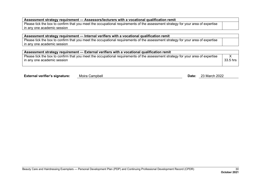#### **Assessment strategy requirement — Assessors/lecturers with a vocational qualification remit**

Please tick the box to confirm that you meet the occupational requirements of the assessment strategy for your area of expertise in any one academic session

#### **Assessment strategy requirement — Internal verifiers with a vocational qualification remit**

Please tick the box to confirm that you meet the occupational requirements of the assessment strategy for your area of expertise in any one academic session

| Assessment strategy requirement — External verifiers with a vocational qualification remit                                                                          |          |
|---------------------------------------------------------------------------------------------------------------------------------------------------------------------|----------|
| Please tick the box to confirm that you meet the occupational requirements of the assessment strategy for your area of expertise<br>l in anv one academic session l | 33.5 hrs |

| <b>External verifier's signature:</b> | Moira Campbell | Date | 23 March 2022 |
|---------------------------------------|----------------|------|---------------|
|                                       |                |      |               |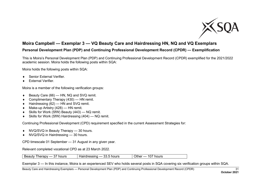

# <span id="page-32-0"></span>**Moira Campbell — Exemplar 3 — VQ Beauty Care and Hairdressing HN, NQ and VQ Exemplars**

# **Personal Development Plan (PDP) and Continuing Professional Development Record (CPDR) — Exemplification**

This is Moira's Personal Development Plan (PDP) and Continuing Professional Development Record (CPDR) exemplified for the 2021/2022 academic session. Moira holds the following posts within SQA:

Moira holds the following posts within SQA:

- Senior External Verifier.
- **External Verifier.**

Moira is a member of the following verification groups:

- ♦ Beauty Care (66) HN, NQ and SVQ remit.
- ♦ Complimentary Therapy (430) HN remit.
- ♦ Hairdressing (62) HN and SVQ remit.
- ♦ Make-up Artistry (428) HN remit.
- ♦ Skills for Work (SfW) Beauty (443) NQ remit.
- ♦ Skills for Work (SfW) Hairdressing (404) NQ remit.

Continuing Professional Development (CPD) requirement specified in the current Assessment Strategies for:

- ♦ NVQ/SVQ in Beauty Therapy 30 hours.
- ♦ NVQ/SVQ in Hairdressing 30 hours.

CPD timescale 01 September — 31 August in any given year.

Relevant completed vocational CPD as at 23 March 2022.

Exemplar 3 — In this instance, Moira is an experienced SEV who holds several posts in SQA covering six verification groups within SQA.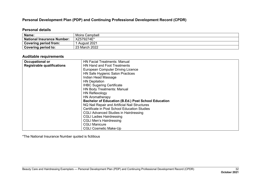#### **Personal Development Plan (PDP) and Continuing Professional Development Record (CPDR)**

#### **Personal details**

| Name:                             | Moira Campbell |
|-----------------------------------|----------------|
| <b>National Insurance Number:</b> | XZ579274E*     |
| <b>Covering period from:</b>      | August 2021    |
| <b>Covering period to:</b>        | 23 March 2022  |

#### **Auditable requirements**

| Occupational or                   | <b>HN Facial Treatments: Manual</b>                        |  |  |
|-----------------------------------|------------------------------------------------------------|--|--|
| <b>Registrable qualifications</b> | <b>HN Hand and Foot Treatments</b>                         |  |  |
|                                   | <b>European Computer Driving Licence</b>                   |  |  |
|                                   | HN Safe Hygienic Salon Practices                           |  |  |
|                                   | Indian Head Massage                                        |  |  |
|                                   | <b>HN Depilation</b>                                       |  |  |
|                                   | <b>IHBC Sugaring Certificate</b>                           |  |  |
|                                   | <b>HN Body Treatments: Manual</b>                          |  |  |
|                                   | HN Reflexology                                             |  |  |
|                                   | <b>HN Aromatherapy</b>                                     |  |  |
|                                   | <b>Bachelor of Education (B.Ed.) Post School Education</b> |  |  |
|                                   | NQ Nail Repair and Artificial Nail Structures              |  |  |
|                                   | Certificate in Post School Education Studies               |  |  |
|                                   | <b>CGLI Advanced Studies in Hairdressing</b>               |  |  |
|                                   | <b>CGLI Ladies Hairdressing</b>                            |  |  |
|                                   | <b>CGLI Men's Hairdressing</b>                             |  |  |
| <b>CGLI Manicure</b>              |                                                            |  |  |
|                                   | <b>CGLI Cosmetic Make-Up</b>                               |  |  |

\*The National Insurance Number quoted is fictitious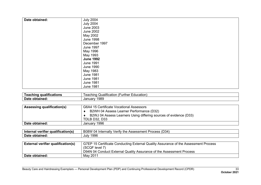| Date obtained: | <b>July 2004</b> |
|----------------|------------------|
|                | <b>July 2004</b> |
|                |                  |
|                | <b>June 2003</b> |
|                | June 2002        |
|                | May 2002         |
|                | <b>June 1998</b> |
|                | December 1997    |
|                | <b>June 1997</b> |
|                | May 1996         |
|                | May 1993         |
|                | <b>June 1992</b> |
|                | <b>June 1991</b> |
|                | <b>June 1990</b> |
|                | May 1983         |
|                | <b>June 1981</b> |
|                | <b>June 1981</b> |
|                | <b>June 1981</b> |
|                | <b>June 1981</b> |

| ---<br>ши  | -ducation<br>, eaching<br>.ner<br>atior.<br>ur<br><b>CJUAIITIC&amp;</b> |
|------------|-------------------------------------------------------------------------|
| Date       | 989                                                                     |
| nobtained. | Januar                                                                  |

| Assessing qualification(s) | G6A4 15 Certificate Vocational Assessors                          |  |  |  |  |
|----------------------------|-------------------------------------------------------------------|--|--|--|--|
|                            | B2WH 04 Assess Learner Performance (D32)                          |  |  |  |  |
|                            | B2WJ 04 Assess Learners Using differing sources of evidence (D33) |  |  |  |  |
|                            | <b>TDLB D32, D33</b>                                              |  |  |  |  |
| Date obtained:             | January 1996                                                      |  |  |  |  |

| <br><b>Interna</b><br>aualification(s)<br>verifier<br>ernal | (D34)<br><br>B <sub>0</sub> 8 <sub>W</sub><br>$\lceil$ rnally $\lceil$<br>≞Assessment<br>the<br>√erit<br>Process<br><b>Inter</b><br>(14)<br>$\mathbf{v}$ |
|-------------------------------------------------------------|----------------------------------------------------------------------------------------------------------------------------------------------------------|
| <b>Date</b>                                                 | 1996                                                                                                                                                     |
| obtained.                                                   | July                                                                                                                                                     |

| <b>External verifier qualification(s)</b> | G7EP 15 Certificate Conducting External Quality Assurance of the Assessment Process |  |  |  |
|-------------------------------------------|-------------------------------------------------------------------------------------|--|--|--|
|                                           | (SCQF level 7)                                                                      |  |  |  |
|                                           | D94N 04 Conduct External Quality Assurance of the Assessment Process                |  |  |  |
| Date obtained:                            | May 2011                                                                            |  |  |  |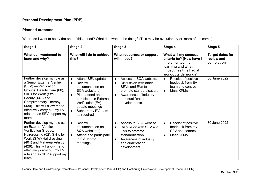#### **Planned outcome**

| Stage 1                                                                                                                                                                                                                                                                                         | Stage 2                                                                                                                                                                                                                                           | Stage 3                                                                                                                                                                      | Stage 4                                                                                                                                  | Stage 5                                             |
|-------------------------------------------------------------------------------------------------------------------------------------------------------------------------------------------------------------------------------------------------------------------------------------------------|---------------------------------------------------------------------------------------------------------------------------------------------------------------------------------------------------------------------------------------------------|------------------------------------------------------------------------------------------------------------------------------------------------------------------------------|------------------------------------------------------------------------------------------------------------------------------------------|-----------------------------------------------------|
| What do I want/need to<br>learn and why?                                                                                                                                                                                                                                                        | What will I do to achieve<br>this?                                                                                                                                                                                                                | What resources or support<br>will I need?                                                                                                                                    | What will my success<br>criteria be? (How have I<br>implemented my<br>learning and what<br>impact has this had at<br>work/outside work)? | <b>Target dates for</b><br>review and<br>completion |
| Further develop my role as<br>a Senior External Verifier<br>(SEV) — Verification<br>Groups: Beauty Care (66),<br>Skills for Work (SfW)<br>Beauty (443) and<br><b>Complimentary Therapy</b><br>(430). This will allow me to<br>effectively carry out my EV<br>role and as SEV support my<br>team | Attend SEV update<br>$\blacklozenge$<br><b>Review</b><br>$\bullet$<br>documentation on<br>SQA website(s)<br>Plan, attend and<br>$\bullet$<br>participate in External<br>Verification (EV)<br>update meetings<br>Support my EV team<br>as required | Access to SQA website.<br>٠<br>Discussion with other<br>٠<br>SEVs and EVs to<br>promote standardisation.<br>Awareness of industry<br>٠<br>and qualification<br>developments. | Receipt of positive<br>٠<br>feedback from EV<br>team and centres.<br>Meet KPMs.<br>٠                                                     | 30 June 2022                                        |
| Further develop my role as<br>an External Verifier -<br><b>Verification Groups:</b><br>Hairdressing (62), Skills for<br>Work (SfW) Hairdressing<br>(404) and Make-up Artistry<br>(428). This will allow me to<br>effectively carry out my EV<br>role and as SEV support my<br>team              | <b>Review</b><br>$\bullet$<br>documentation on<br>SQA website(s)<br>Attend and participate<br>$\bullet$<br>in EV update<br>meetings                                                                                                               | Access to SQA website.<br>٠<br>Discussion with SEV and<br>٠<br>EVs to promote<br>standardisation.<br>Awareness of industry<br>٠<br>and qualification<br>development.         | Receipt of positive<br>$\bullet$<br>feedback from my<br>SEV and centres.<br>Meet KPMs.<br>٠                                              | 30 June 2022                                        |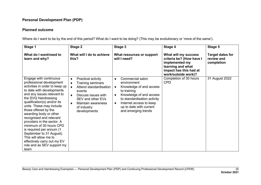#### **Planned outcome**

| Stage 1                                                                                                                                                                                                                                                                                                                                                                                                                                                                                                                        | Stage 2                                                                                                                                                                                               | Stage 3                                                                                                                                                                                                                              | Stage 4                                                                                                                                  | Stage 5                                             |
|--------------------------------------------------------------------------------------------------------------------------------------------------------------------------------------------------------------------------------------------------------------------------------------------------------------------------------------------------------------------------------------------------------------------------------------------------------------------------------------------------------------------------------|-------------------------------------------------------------------------------------------------------------------------------------------------------------------------------------------------------|--------------------------------------------------------------------------------------------------------------------------------------------------------------------------------------------------------------------------------------|------------------------------------------------------------------------------------------------------------------------------------------|-----------------------------------------------------|
| What do I want/need to<br>learn and why?                                                                                                                                                                                                                                                                                                                                                                                                                                                                                       | What will I do to achieve<br>this?                                                                                                                                                                    | What resources or support<br>will I need?                                                                                                                                                                                            | What will my success<br>criteria be? (How have I<br>implemented my<br>learning and what<br>impact has this had at<br>work/outside work)? | <b>Target dates for</b><br>review and<br>completion |
| Engage with continuous<br>professional development<br>activities in order to keep up<br>to date with developments<br>and any issues relevant to<br>the SVQ Hairdressing<br>qualification(s) and/or its<br>units. These may include<br>those offered by the<br>awarding body or other<br>recognised and relevant<br>providers in the sector. A<br>minimum of 30 hours CPD<br>is required per annum (1<br>September to 31 August).<br>This will allow me to<br>effectively carry out my EV<br>role and as SEV support my<br>team | Practical activity<br>٠<br>Training seminars<br>Attend standardisation<br>events<br>Discuss issues with<br>$\bullet$<br>SEV and other EVs<br><b>Maintain awareness</b><br>of industry<br>developments | Commercial salon<br>٠<br>environment<br>Knowledge of and access<br>٠<br>to training<br>Knowledge of and access<br>٠<br>to standardisation activity<br>Internet access to keep<br>٠<br>up to date with current<br>and emerging trends | Completion of 30 hours<br><b>CPD</b>                                                                                                     | 31 August 2022                                      |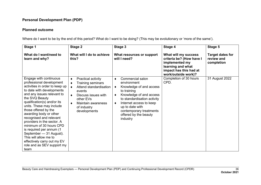#### **Planned outcome**

| Stage 1                                                                                                                                                                                                                                                                                                                                                                                                                                                                                                                 | Stage 2                                                                                                                                                                                                          | Stage 3                                                                                                                                                                                                                                                               | Stage 4                                                                                                                                  | Stage 5                                             |
|-------------------------------------------------------------------------------------------------------------------------------------------------------------------------------------------------------------------------------------------------------------------------------------------------------------------------------------------------------------------------------------------------------------------------------------------------------------------------------------------------------------------------|------------------------------------------------------------------------------------------------------------------------------------------------------------------------------------------------------------------|-----------------------------------------------------------------------------------------------------------------------------------------------------------------------------------------------------------------------------------------------------------------------|------------------------------------------------------------------------------------------------------------------------------------------|-----------------------------------------------------|
| What do I want/need to<br>learn and why?                                                                                                                                                                                                                                                                                                                                                                                                                                                                                | What will I do to achieve<br>this?                                                                                                                                                                               | What resources or support<br>will I need?                                                                                                                                                                                                                             | What will my success<br>criteria be? (How have I<br>implemented my<br>learning and what<br>impact has this had at<br>work/outside work)? | <b>Target dates for</b><br>review and<br>completion |
| Engage with continuous<br>professional development<br>activities in order to keep up<br>to date with developments<br>and any issues relevant to<br>the SVQ Beauty<br>qualification(s) and/or its<br>units. These may include<br>those offered by the<br>awarding body or other<br>recognised and relevant<br>providers in the sector. A<br>minimum of 30 hours CPD<br>is required per annum (1<br>September - 31 August).<br>This will allow me to<br>effectively carry out my EV<br>role and as SEV support my<br>team | Practical activity<br>٠<br>Training seminars<br>$\bullet$<br>Attend standardisation<br>$\bullet$<br>events<br>Discuss issues with<br>$\bullet$<br>other EVs<br>Maintain awareness<br>of industry<br>developments | Commercial salon<br>٠<br>environment<br>Knowledge of and access<br>٠<br>to training<br>Knowledge of and access<br>٠<br>to standardisation activity<br>Internet access to keep<br>٠<br>up to date with<br>contemporary treatments<br>offered by the beauty<br>industry | Completion of 30 hours<br>CPD.                                                                                                           | 31 August 2022                                      |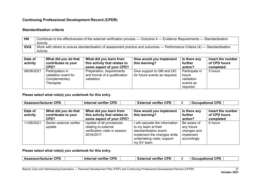#### **Standardisation criteria**

| <b>HN</b>  | Contribute to the effectiveness of the external verification process — Outcome 4 — Evidence Requirements — Standardisation  |
|------------|-----------------------------------------------------------------------------------------------------------------------------|
|            | Activity                                                                                                                    |
| <b>SVQ</b> | Work with others to ensure standardisation of assessment practice and outcomes — Performance Criteria (4) — Standardisation |
|            | Activity                                                                                                                    |

| Date of<br>activity | What did you do that<br>contributes to your<br>CPD?                           | What did you learn from<br>this activity that relates to<br>some aspect of your CPD? | How would you implement<br>this learning?                   | Is there any<br>further<br>action?                               | Insert the number<br>of CPD hours<br>completed |
|---------------------|-------------------------------------------------------------------------------|--------------------------------------------------------------------------------------|-------------------------------------------------------------|------------------------------------------------------------------|------------------------------------------------|
| 08/08/2021          | Participation in<br>validation event for<br>Complementary<br><b>Therapies</b> | Preparation, requirements<br>and format of a qualification<br>validation.            | Give support to QM and QO<br>for future events as required. | Participate in<br>future<br>validation<br>events as<br>required. | 5 hours                                        |

**Please select what role(s) you undertook for this entry.**

| <b>Assessor/lecturer CPD</b> |                                                     | <b>Internal verifier CPD</b>                                                                     | <b>External verifier CPD</b>                                                                                                                               |                                                                       | <b>Occupational CPD</b>                        |
|------------------------------|-----------------------------------------------------|--------------------------------------------------------------------------------------------------|------------------------------------------------------------------------------------------------------------------------------------------------------------|-----------------------------------------------------------------------|------------------------------------------------|
| Date of<br>activity          | What did you do that<br>contributes to your<br>CPD? | What did you learn from<br>this activity that relates to<br>some aspect of your CPD?             | How would you implement<br>this learning?                                                                                                                  | Is there any<br>further<br>action?                                    | Insert the number<br>of CPD hours<br>completed |
| 11/08/2021                   | Senior external verifier<br>update                  | Update of all procedures<br>relating to external<br>verification visits in session<br>2016/2017. | will cascade the information<br>to my team at their<br>standardisation event;<br>implement the changes while<br>undertaking visits; support<br>my EV team. | Be aware of<br>any future<br>changes and<br>implement<br>accordingly. | 6 hours                                        |

|  | <b>Assessor/lecturer CPD</b> |  | <b>CPD</b><br>Internal verifier |  | <b>CPD</b><br>- --<br>∠xternal<br>l veritier i |  | <b>CPD</b><br><b>Occupational</b> |  |
|--|------------------------------|--|---------------------------------|--|------------------------------------------------|--|-----------------------------------|--|
|--|------------------------------|--|---------------------------------|--|------------------------------------------------|--|-----------------------------------|--|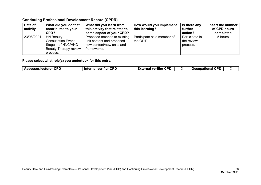| Date of<br>activity | What did you do that<br>contributes to your<br>CPD?                                                        | What did you learn from<br>this activity that relates to<br>some aspect of your CPD?                 | How would you implement<br>this learning? | Is there any<br>further<br>action?       | Insert the number<br>of CPD hours<br>completed |
|---------------------|------------------------------------------------------------------------------------------------------------|------------------------------------------------------------------------------------------------------|-------------------------------------------|------------------------------------------|------------------------------------------------|
| 23/08/2021          | <b>HN Beauty</b><br>Consultation Event -<br>Stage 1 of HNC/HND<br><b>Beauty Therapy review</b><br>process. | Proposed amends to existing<br>unit content and proposed<br>new content/new units and<br>frameworks. | Participate as a member of<br>the QDT.    | Participate in<br>the review<br>process. | 5 hours                                        |

| Internal verifier<br><b>Occupational</b><br>≟xternal verifier ′ | <b>Assessor/lecturer CPD</b> | <b>CPD</b> | <b>CPD</b> |  | J CPD. |  |
|-----------------------------------------------------------------|------------------------------|------------|------------|--|--------|--|
|-----------------------------------------------------------------|------------------------------|------------|------------|--|--------|--|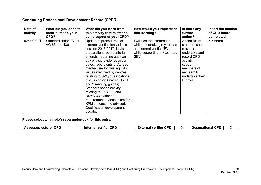| Date of<br>activity | What did you do that<br>contributes to your<br>CPD? | What did you learn from<br>this activity that relates to<br>some aspect of your CPD?                                                                                                                                                                                                                                                                                                                                                                                                                                                                             | How would you implement<br>this learning?                                                                                        | Is there any<br>further<br>action?                                                                                                                             | Insert the number<br>of CPD hours<br>completed |
|---------------------|-----------------------------------------------------|------------------------------------------------------------------------------------------------------------------------------------------------------------------------------------------------------------------------------------------------------------------------------------------------------------------------------------------------------------------------------------------------------------------------------------------------------------------------------------------------------------------------------------------------------------------|----------------------------------------------------------------------------------------------------------------------------------|----------------------------------------------------------------------------------------------------------------------------------------------------------------|------------------------------------------------|
| 02/09/2021          | <b>Standardisation Event</b><br>VG 66 and 430       | Update of procedures for<br>external verification visits in<br>session 2016/2017, ie visit<br>preparation, report criteria<br>amends, reporting back on<br>day of visit, evidence action<br>dates, report writing. Agreed<br>mechanism for dealing with<br>issues identified by centres<br>relating to SVQ qualifications;<br>discussion on Graded Unit 1<br>and 2 marking guides;<br>Standardisation activity<br>relating to F5B3 12 and<br>DN6G 33 evidence<br>requirements. Mechanism for<br>KPM's measuring advised.<br>Qualification development<br>update. | will use the information<br>while undertaking my role as<br>an external verifier (EV) and<br>while supporting my team as<br>SEV. | Attend future<br>standardisatio<br>n events;<br>undertake and<br>record CPD<br>activity;<br>support<br>members of<br>my team to<br>undertake their<br>EV role. | 5.5 hours                                      |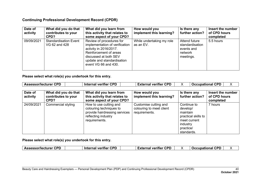| Date of<br>activity | What did you do that<br>contributes to your<br>CPD? | What did you learn from<br>this activity that relates to<br>some aspect of your CPD?                                                                                                          | How would you<br>implement this learning? | Is there any<br>further action?                                        | Insert the number<br>of CPD hours<br>completed |
|---------------------|-----------------------------------------------------|-----------------------------------------------------------------------------------------------------------------------------------------------------------------------------------------------|-------------------------------------------|------------------------------------------------------------------------|------------------------------------------------|
| 09/09/2021          | <b>Standardisation Event</b><br>VG 62 and 428       | Review of procedures for<br>implementation of verification<br>activity in 2016/2017.<br>Reinforcement of areas<br>discussed at both SEV<br>update and standardisation<br>event VG 66 and 430. | While undertaking my role<br>as an EV.    | Attend future<br>standardisation<br>events and<br>network<br>meetings. | 5.5 hours                                      |

**Please select what role(s) you undertook for this entry.**

| <b>Assessor/lecturer CPD</b> |                                                                                                                                                  | <b>Internal verifier CPD</b>                                                         | <b>External verifier CPD</b>                                       | <b>Occupational CPD</b><br>Χ                                                                                      |                                                |  |
|------------------------------|--------------------------------------------------------------------------------------------------------------------------------------------------|--------------------------------------------------------------------------------------|--------------------------------------------------------------------|-------------------------------------------------------------------------------------------------------------------|------------------------------------------------|--|
| Date of<br>activity          | What did you do that<br>contributes to your<br>CPD?                                                                                              | What did you learn from<br>this activity that relates to<br>some aspect of your CPD? | How would you<br>implement this learning?                          | Is there any<br>further action?                                                                                   | Insert the number<br>of CPD hours<br>completed |  |
| 24/09/2021                   | Commercial styling<br>How to use cutting and<br>colouring techniques to<br>provide hairdressing services<br>reflecting industry<br>requirements. |                                                                                      | Customise cutting and<br>colouring to meet client<br>requirements. | Continue to<br>develop/<br>maintain<br>practical skills to<br>meet current<br>industry<br>practice/<br>standards. | 7 hours                                        |  |

| oon.<br><b>Assessor/lecturer</b><br>. | сог<br><b>Internal verifier</b> | CDD<br>External verifier<br>---- |  | <b>CPD</b><br><b>Occupational</b> |  |
|---------------------------------------|---------------------------------|----------------------------------|--|-----------------------------------|--|
|---------------------------------------|---------------------------------|----------------------------------|--|-----------------------------------|--|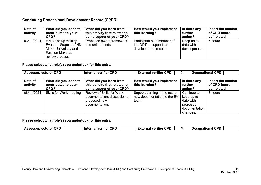| Date of<br>activity | What did you do that<br>contributes to your<br>CPD?                                                               | What did you learn from<br>this activity that relates to<br>some aspect of your CPD? | How would you implement<br>this learning?                                    | Is there any<br>further<br>action?       | Insert the number<br>of CPD hours<br>completed |
|---------------------|-------------------------------------------------------------------------------------------------------------------|--------------------------------------------------------------------------------------|------------------------------------------------------------------------------|------------------------------------------|------------------------------------------------|
| 03/11/2021          | HN Make-up Artistry<br>Event — Stage 1 of HN<br>Make-Up Artistry and<br><b>Fashion Make-up</b><br>review process. | Proposed award framework<br>and unit amends.                                         | Participate as a member of<br>the QDT to support the<br>development process. | Keep up to<br>date with<br>developments. | 5 hours                                        |

**Please select what role(s) you undertook for this entry.**

| <b>Assessor/lecturer CPD</b> |                                                     | <b>Internal verifier CPD</b>                                                                | <b>External verifier CPD</b>                                           | <b>Occupational CPD</b>                                                         |                                                |
|------------------------------|-----------------------------------------------------|---------------------------------------------------------------------------------------------|------------------------------------------------------------------------|---------------------------------------------------------------------------------|------------------------------------------------|
| Date of<br>activity          | What did you do that<br>contributes to your<br>CPD? | What did you learn from<br>this activity that relates to<br>some aspect of your CPD?        | How would you implement<br>this learning?                              | Is there any<br>further<br>action?                                              | Insert the number<br>of CPD hours<br>completed |
| 08/11/2021                   | Skills for Work meeting                             | Review of Skills for Work<br>documentation, discussion on<br>proposed new<br>documentation. | Support training in the use of<br>new documentation to the EV<br>team. | Continue to<br>keep up to<br>date with<br>proposed<br>documentation<br>changes. | 3 hours                                        |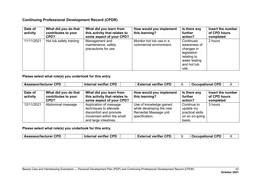| Date of<br>activity | What did you do that<br>contributes to your<br>CPD? | What did you learn from<br>this activity that relates to<br>some aspect of your CPD? | How would you implement<br>this learning?           | Is there any<br>further<br>action?                                                                            | Insert the number<br>of CPD hours<br>completed |
|---------------------|-----------------------------------------------------|--------------------------------------------------------------------------------------|-----------------------------------------------------|---------------------------------------------------------------------------------------------------------------|------------------------------------------------|
| 11/11/2021          | Hot tub safety training                             | Management and<br>maintenance; safety<br>precautions for use.                        | Monitor hot tub use in a<br>commercial environment. | Continued<br>awareness of<br>changes in<br>legislation<br>relating to<br>water testing<br>and hot tub<br>use. | 2 hours                                        |

**Please select what role(s) you undertook for this entry.**

| <b>Assessor/lecturer CPD</b> |                      | <b>Internal verifier CPD</b>  | <b>External verifier CPD</b> | <b>Occupational CPD</b> |                   | X |
|------------------------------|----------------------|-------------------------------|------------------------------|-------------------------|-------------------|---|
|                              |                      |                               |                              |                         |                   |   |
| Date of                      | What did you do that | What did you learn from       | How would you implement      | Is there any            | Insert the number |   |
| activity                     | contributes to your  | this activity that relates to | this learning?               | further                 | of CPD hours      |   |
|                              | CPD?                 | some aspect of your CPD?      |                              | action?                 | completed         |   |
| 12/11/2021                   | Abdominal massage    | Application of massage        | Use of knowledge gained      | Continue to             | 3 hours           |   |
|                              |                      | techniques to alleviate       | while developing the new     | update my               |                   |   |
|                              |                      | discomfort and promote        | Remedial Massage unit        | practical skills        |                   |   |
|                              |                      | movement within the small     | specification.               | on an on-going          |                   |   |
|                              |                      | and large intestines.         |                              | basis.                  |                   |   |

| <b>CPD</b><br>Assessor/lecturer | <b>CPD</b><br>Internal verifier |  | <b>CPD</b><br><b>External verifier</b> |  | <b>CPD</b><br><b>Occupational</b> |  |
|---------------------------------|---------------------------------|--|----------------------------------------|--|-----------------------------------|--|
|---------------------------------|---------------------------------|--|----------------------------------------|--|-----------------------------------|--|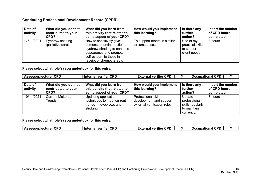| Date of<br>activity | What did you do that<br>contributes to your<br>CPD? | What did you learn from<br>this activity that relates to<br>some aspect of your CPD?                                                                                   | How would you implement<br>this learning?      | Is there any<br>further<br>action?                           | Insert the number<br>of CPD hours<br>completed |
|---------------------|-----------------------------------------------------|------------------------------------------------------------------------------------------------------------------------------------------------------------------------|------------------------------------------------|--------------------------------------------------------------|------------------------------------------------|
| 17/11/2021          | Eyebrow shading<br>(palliative care)                | How to sensitively give<br>demonstration/instruction on<br>eyebrow shading to enhance<br>appearance and promote<br>self-esteem to those in<br>receipt of chemotherapy. | To support others in similar<br>circumstances. | Use of my<br>practical skills<br>to support<br>client needs. | 3 hours                                        |

#### **Please select what role(s) you undertook for this entry.**

| <b>Assessor/lecturer CPD</b> |                                                     | <b>Internal verifier CPD</b>                                                             | <b>External verifier CPD</b>                                                        |                                                                        | <b>Occupational CPD</b><br>X                   |
|------------------------------|-----------------------------------------------------|------------------------------------------------------------------------------------------|-------------------------------------------------------------------------------------|------------------------------------------------------------------------|------------------------------------------------|
| Date of<br>activity          | What did you do that<br>contributes to your<br>CPD? | What did you learn from<br>this activity that relates to<br>some aspect of your CPD?     | How would you implement<br>this learning?                                           | Is there any<br>further<br>action?                                     | Insert the number<br>of CPD hours<br>completed |
| 19/11/2021                   | <b>Current Make-up</b><br>Trends                    | Updating application<br>techniques to meet current<br>trends — eyebrows and<br>strobing. | <b>Professional skill</b><br>development and support<br>external verification role. | Update<br>professional<br>skills regularly<br>to maintain<br>currency. | 3 hours                                        |

|  | <b>Assessor/lecturer CPD</b> | <b>Internal verifier CPD</b> |  | <b>External verifier CPD</b> |  | <b>Occupational CPD</b> |  |
|--|------------------------------|------------------------------|--|------------------------------|--|-------------------------|--|
|--|------------------------------|------------------------------|--|------------------------------|--|-------------------------|--|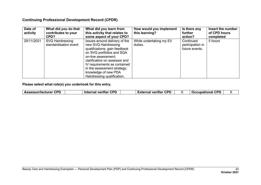| Date of<br>activity | What did you do that<br>contributes to your<br>CPD? | What did you learn from<br>this activity that relates to<br>some aspect of your CPD?                                                                                                                                                                                                              | How would you implement<br>this learning? | Is there any<br>further<br>action?              | Insert the number<br>of CPD hours<br>completed |
|---------------------|-----------------------------------------------------|---------------------------------------------------------------------------------------------------------------------------------------------------------------------------------------------------------------------------------------------------------------------------------------------------|-------------------------------------------|-------------------------------------------------|------------------------------------------------|
| 25/11/2021          | SVQ Hairdressing<br>standardisation event           | Issues around delivery of the<br>new SVQ Hairdressing<br>qualifications; gain feedback<br>on SVQ portfolios and SQA<br>on-line assessment;<br>clarification on assessor and<br>IV requirements as contained<br>in the assessment strategy;<br>knowledge of new PDA<br>Hairdressing qualification. | While undertaking my EV<br>duties.        | Continued<br>participation in<br>future events. | 5 hours                                        |

| <b>CPD</b><br>Assessor/lecturer | <b>CPD</b><br>Internal verifier | <b>External verifier CPD</b> |  | <b>CPD</b><br><b>Occupational</b> |  |
|---------------------------------|---------------------------------|------------------------------|--|-----------------------------------|--|
|---------------------------------|---------------------------------|------------------------------|--|-----------------------------------|--|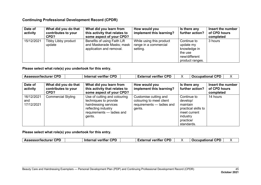| Date of<br>activity | What did you do that<br>contributes to your<br>CPD? | What did you learn from<br>this activity that relates to<br>some aspect of your CPD?  | How would you<br>implement this learning?                     | Is there any<br>further action?                                                         | Insert the number<br>of CPD hours<br>completed |
|---------------------|-----------------------------------------------------|---------------------------------------------------------------------------------------|---------------------------------------------------------------|-----------------------------------------------------------------------------------------|------------------------------------------------|
| 15/12/2021          | Tibby Libby product<br>update                       | Benefits of using Faith Lift<br>and Maskerade Masks; mask<br>application and removal. | While using this product<br>range in a commercial<br>setting. | Continue to<br>update my<br>knowledge in<br>the use<br>new/different<br>product ranges. | 3 hours                                        |

**Please select what role(s) you undertook for this entry.**

| <b>Assessor/lecturer CPD</b>    |                                                     | <b>Internal verifier CPD</b>                                                                                                                 | <b>External verifier CPD</b>                                                             |                                                                                                                   | <b>Occupational CPD</b><br>Χ                   |
|---------------------------------|-----------------------------------------------------|----------------------------------------------------------------------------------------------------------------------------------------------|------------------------------------------------------------------------------------------|-------------------------------------------------------------------------------------------------------------------|------------------------------------------------|
| Date of<br>activity             | What did you do that<br>contributes to your<br>CPD? | What did you learn from<br>this activity that relates to<br>some aspect of your CPD?                                                         | How would you<br>implement this learning?                                                | Is there any<br>further action?                                                                                   | Insert the number<br>of CPD hours<br>completed |
| 16/12/2021<br>and<br>17/12/2021 | <b>Commercial Styling</b>                           | Use of cutting and colouring<br>techniques to provide<br>hairdressing services<br>reflecting industry<br>requirements - ladies and<br>gents. | Customise cutting and<br>colouring to meet client<br>requirements - ladies and<br>gents. | Continue to<br>develop/<br>maintain<br>practical skills to<br>meet current<br>industry<br>practice/<br>standards. | 14 hours                                       |

|  | <b>Assessor/lecturer CPD</b> | <b>CPD</b><br>veritier<br><b>Internal</b> |  | <b>CDF</b><br>External verifier CP' |  | con<br>Occupational |  |
|--|------------------------------|-------------------------------------------|--|-------------------------------------|--|---------------------|--|
|--|------------------------------|-------------------------------------------|--|-------------------------------------|--|---------------------|--|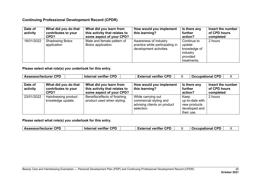| Date of<br>activity | What did you do that<br>contributes to your<br>CPD? | What did you learn from<br>this activity that relates to<br>some aspect of your CPD? | How would you implement<br>this learning?                                           | Is there any<br>further<br>action?                                           | Insert the number<br>of CPD hours<br>completed |
|---------------------|-----------------------------------------------------|--------------------------------------------------------------------------------------|-------------------------------------------------------------------------------------|------------------------------------------------------------------------------|------------------------------------------------|
| 18/01/2022          | <b>Shadowing Botox</b><br>application               | Male and female pattern of<br>Botox application.                                     | Awareness of industry<br>practice while participating in<br>development activities. | Continue to<br>update<br>knowledge of<br>industry<br>provided<br>treatments. | 2 hours                                        |

**Please select what role(s) you undertook for this entry.**

| <b>Assessor/lecturer CPD</b> |                                                     | <b>Internal verifier CPD</b>                                                         | <b>External verifier CPD</b>                                                              |                                                                        | <b>Occupational CPD</b><br>X                   |
|------------------------------|-----------------------------------------------------|--------------------------------------------------------------------------------------|-------------------------------------------------------------------------------------------|------------------------------------------------------------------------|------------------------------------------------|
| Date of<br>activity          | What did you do that<br>contributes to your<br>CPD? | What did you learn from<br>this activity that relates to<br>some aspect of your CPD? | How would you implement<br>this learning?                                                 | Is there any<br>further<br>action?                                     | Insert the number<br>of CPD hours<br>completed |
| 23/01/2022                   | Hairdressing product<br>knowledge update.           | Benefits/effects of finishing<br>product used when styling.                          | While carrying out<br>commercial styling and<br>advising clients on product<br>selection. | Keep<br>up-to-date with<br>new products<br>developed and<br>their use. | 2 hours                                        |

| <b>Assessor/lecturer CPD</b> | <b>CPD</b><br>⊺Internal verifier | <b>External verifier CPD</b> | <b>CPD</b><br><b>Occupational</b> |  |
|------------------------------|----------------------------------|------------------------------|-----------------------------------|--|
|------------------------------|----------------------------------|------------------------------|-----------------------------------|--|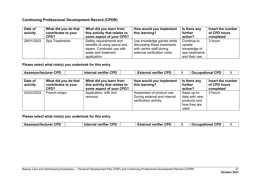| Date of<br>activity | What did you do that<br>contributes to your<br>CPD? | What did you learn from<br>this activity that relates to<br>some aspect of your CPD?                                      | How would you implement<br>this learning?                                                                              | Is there any<br>further<br>action?                                        | Insert the number<br>of CPD hours<br>completed |
|---------------------|-----------------------------------------------------|---------------------------------------------------------------------------------------------------------------------------|------------------------------------------------------------------------------------------------------------------------|---------------------------------------------------------------------------|------------------------------------------------|
| 29/01/2022          | Spa Treatments                                      | Safety requirements and<br>benefits of using sauna and<br>steam. Combined use with<br>water and treatment<br>application. | Use knowledge gained while<br>discussing these treatments<br>with centre staff during<br>external verification visits. | Continue to<br>update<br>knowledge of<br>spa treatments<br>and their use. | 3 hours                                        |

**Please select what role(s) you undertook for this entry.**

| <b>Assessor/lecturer CPD</b> |                                                     | <b>Internal verifier CPD</b>                                                         | <b>External verifier CPD</b>                                                        | <b>Occupational CPD</b>                                               | X                                              |
|------------------------------|-----------------------------------------------------|--------------------------------------------------------------------------------------|-------------------------------------------------------------------------------------|-----------------------------------------------------------------------|------------------------------------------------|
| Date of<br>activity          | What did you do that<br>contributes to your<br>CPD? | What did you learn from<br>this activity that relates to<br>some aspect of your CPD? | How would you implement<br>this learning?                                           | Is there any<br>further<br>action?                                    | Insert the number<br>of CPD hours<br>completed |
| 03/02/2022                   | French wraps                                        | Application, infill and<br>removal.                                                  | Awareness of product use;<br>During external and internal<br>verification activity. | Keep up-to-<br>date with new<br>products and<br>how they are<br>used. | 3 hours                                        |

| <b>Occupational CPD</b><br><b>External verifier CPD</b><br><b>Internal verifier CPD</b><br><b>Assessor/lecturer CPD</b> |
|-------------------------------------------------------------------------------------------------------------------------|
|-------------------------------------------------------------------------------------------------------------------------|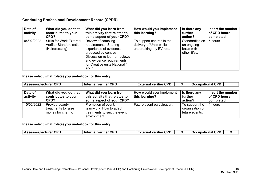| Date of<br>activity | What did you do that<br>contributes to your<br>CPD?                                  | What did you learn from<br>this activity that relates to<br>some aspect of your CPD?                                                                                                                     | How would you implement<br>this learning?                                       | Is there any<br>further<br>action?                       | Insert the number<br>of CPD hours<br>completed |
|---------------------|--------------------------------------------------------------------------------------|----------------------------------------------------------------------------------------------------------------------------------------------------------------------------------------------------------|---------------------------------------------------------------------------------|----------------------------------------------------------|------------------------------------------------|
| 04/02/2022          | <b>Skills for Work External</b><br><b>Verifier Standardisation</b><br>(Hairdressing) | Review of sampling<br>requirements. Sharing<br>experience of evidence<br>produced by centres.<br>Discussion re learner reviews<br>and evidence requirements<br>for Creative units National 4<br>and $5.$ | To support centres in the<br>delivery of Units while<br>undertaking my EV role. | Standardise on<br>an ongoing<br>basis with<br>other EVs. | 5 hours                                        |

**Please select what role(s) you undertook for this entry.**

| <b>Assessor/lecturer CPD</b> |                                                             | <b>Occupational CPD</b><br><b>Internal verifier CPD</b><br><b>External verifier CPD</b>       |                                           |                                                     |                                                |
|------------------------------|-------------------------------------------------------------|-----------------------------------------------------------------------------------------------|-------------------------------------------|-----------------------------------------------------|------------------------------------------------|
| Date of<br>activity          | What did you do that<br>contributes to your<br>CPD?         | What did you learn from<br>this activity that relates to<br>some aspect of your CPD?          | How would you implement<br>this learning? | Is there any<br>further<br>action?                  | Insert the number<br>of CPD hours<br>completed |
| 10/02/2022                   | Provide beauty<br>treatments to raise<br>money for charity. | Promotion of event.<br>teamwork. How to adapt<br>treatments to suit the event<br>environment. | Future event participation.               | To support the<br>organisation of<br>future events. | 4 hours                                        |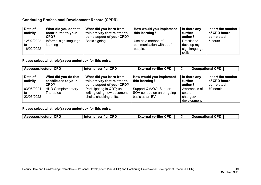| Date of<br>activity            | What did you do that<br>contributes to your<br>CPD? | What did you learn from<br>$^{\prime}$ this activity that relates to<br>some aspect of your CPD? | How would you implement<br>this learning?                | Is there any<br>further<br>action?                    | Insert the number<br>of CPD hours<br>completed |
|--------------------------------|-----------------------------------------------------|--------------------------------------------------------------------------------------------------|----------------------------------------------------------|-------------------------------------------------------|------------------------------------------------|
| 12/02/2022<br>to<br>16/02/2022 | Informal sign language<br>learning                  | Basic signing                                                                                    | Use as a method of<br>communication with deaf<br>people. | Practise to<br>develop my<br>sign language<br>skills. | 5 hours                                        |

**Please select what role(s) you undertook for this entry.**

| <b>Assessor/lecturer CPD</b>   |                                                     | <b>Internal verifier CPD</b>                                                         | <b>External verifier CPD</b>                                            | <b>Occupational CPD</b>                           |                                                |
|--------------------------------|-----------------------------------------------------|--------------------------------------------------------------------------------------|-------------------------------------------------------------------------|---------------------------------------------------|------------------------------------------------|
| Date of<br>activity            | What did you do that<br>contributes to your<br>CPD? | What did you learn from<br>this activity that relates to<br>some aspect of your CPD? | How would you implement<br>this learning?                               | Is there any<br>further<br>action?                | Insert the number<br>of CPD hours<br>completed |
| 03/06/2021<br>to<br>23/03/2022 | <b>HND Complementary</b><br>Therapies               | Participating in QDT; unit<br>writing using new document<br>shells; checking units.  | Support QM/QO; Support<br>SQA centres on an on-going<br>basis as an EV. | Awareness of<br>award<br>changes/<br>development. | 70 nominal                                     |

| <b>Assessor/lecturer CPD</b> | <b>CPD</b><br><b>Internal verifier</b> | <b>External verifier CPD</b> |  | <b>Occupational CPD</b> |  |
|------------------------------|----------------------------------------|------------------------------|--|-------------------------|--|
|------------------------------|----------------------------------------|------------------------------|--|-------------------------|--|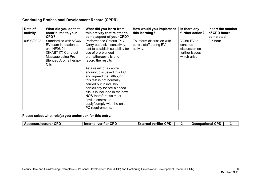| Date of<br>activity | What did you do that<br>contributes to your<br>CPD?                                                                                                 | What did you learn from<br>this activity that relates to<br>some aspect of your CPD?                                                                                                                                                                                                                                                                                                                                                                                                  | How would you implement<br>this learning?                        | Is there any<br>further action?                                           | Insert the number<br>of CPD hours<br>completed |
|---------------------|-----------------------------------------------------------------------------------------------------------------------------------------------------|---------------------------------------------------------------------------------------------------------------------------------------------------------------------------------------------------------------------------------------------------------------------------------------------------------------------------------------------------------------------------------------------------------------------------------------------------------------------------------------|------------------------------------------------------------------|---------------------------------------------------------------------------|------------------------------------------------|
| 09/03/2022          | Standardise with VG66<br>EV team in relation to<br>unit HF96 04<br>(SKABT17) Carry out<br>Massage using Pre-<br><b>Blended Aromatherapy</b><br>Oils | Performance Criteria 'P17<br>Carry out a skin sensitivity<br>test to establish suitability for<br>use of pre-blended<br>aromatherapy oils and<br>record the results'.<br>As a result of a centre<br>enquiry, discussed this PC<br>and agreed that although<br>this test is not normally<br>carried out in industry<br>particularly for pre-blended<br>oils, it is included in the new<br>NOS therefore we must<br>advise centres to<br>apply/comply with the unit<br>PC requirements. | To inform discussion with<br>centre staff during EV<br>activity. | VG66 EV to<br>continue<br>discussion on<br>further issues<br>which arise. | $0.5$ hour                                     |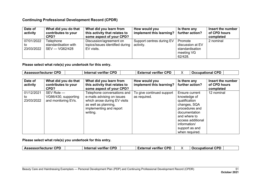| Date of<br>activity            | What did you do that<br>contributes to your<br>CPD?   | What did you learn from<br>this activity that relates to<br>some aspect of your CPD? | How would you<br>implement this learning? | Is there any<br>further action?                                         | Insert the number<br>∣ of CPD hours<br>completed |
|--------------------------------|-------------------------------------------------------|--------------------------------------------------------------------------------------|-------------------------------------------|-------------------------------------------------------------------------|--------------------------------------------------|
| 07/01/2022<br>to<br>23/03/2022 | Telephone<br>standardisation with<br>$SEV - VG62/428$ | Discussion/agreement on<br>topics/issues identified during<br>EV visits.             | Support centres during EV<br>activity.    | Promote<br>discussion at EV<br>standardisation<br>meeting VG<br>62/428. | 2 nominal                                        |

**Please select what role(s) you undertook for this entry.**

| <b>Assessor/lecturer CPD</b>   |                                                           | <b>Internal verifier CPD</b>                                                                                                                             | <b>External verifier CPD</b>              | <b>Occupational CPD</b>                                                                                                                                                                     |                                                |
|--------------------------------|-----------------------------------------------------------|----------------------------------------------------------------------------------------------------------------------------------------------------------|-------------------------------------------|---------------------------------------------------------------------------------------------------------------------------------------------------------------------------------------------|------------------------------------------------|
| Date of<br>activity            | What did you do that<br>contributes to your<br>CPD?       | What did you learn from<br>this activity that relates to<br>some aspect of your CPD?                                                                     | How would you<br>implement this learning? | Is there any<br>further action?                                                                                                                                                             | Insert the number<br>of CPD hours<br>completed |
| 01/12/2021<br>to<br>23/03/2022 | SEV Role -<br>VG66/430, supporting<br>and monitoring EVs. | Telephone conversations and<br>e-mails advising on issues<br>which arose during EV visits<br>as well as planning,<br>implementing and report<br>writing. | To give continued support<br>as required. | Ensure current<br>knowledge of<br>qualification<br>changes, SQA<br>procedures and<br>documentation<br>and where to<br>access additional<br>information/<br>support as and<br>when required. | 12 nominal                                     |

| <b>CPD</b><br><b>Assessor/lecturer CPD</b><br>Internal verifier | <b>CPD</b><br><b>External verifier</b> |  | <b>CPD</b><br>Occupational |  |
|-----------------------------------------------------------------|----------------------------------------|--|----------------------------|--|
|-----------------------------------------------------------------|----------------------------------------|--|----------------------------|--|